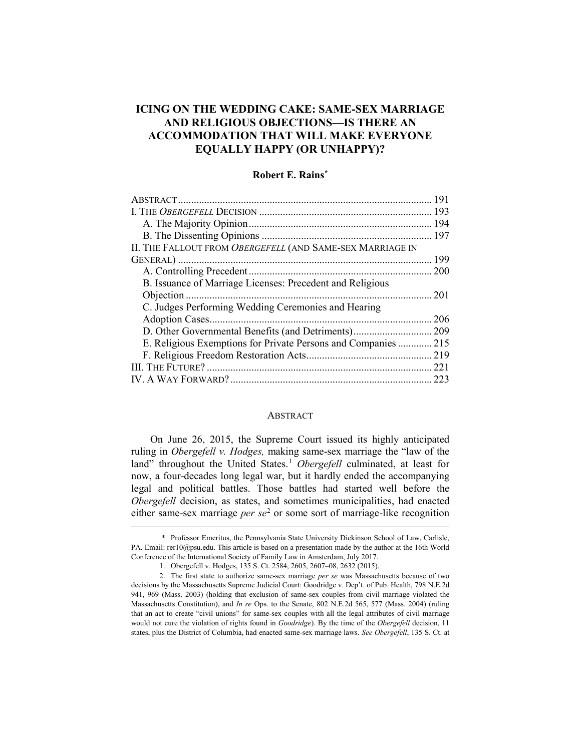# **ICING ON THE WEDDING CAKE: SAME-SEX MARRIAGE AND RELIGIOUS OBJECTIONS—IS THERE AN ACCOMMODATION THAT WILL MAKE EVERYONE EQUALLY HAPPY (OR UNHAPPY)?**

## **Robert E. Rains[\\*](#page-0-0)**

| II. THE FALLOUT FROM OBERGEFELL (AND SAME-SEX MARRIAGE IN      |      |
|----------------------------------------------------------------|------|
|                                                                |      |
|                                                                |      |
| B. Issuance of Marriage Licenses: Precedent and Religious      |      |
|                                                                | 201  |
| C. Judges Performing Wedding Ceremonies and Hearing            |      |
|                                                                | 206  |
| D. Other Governmental Benefits (and Detriments)                | .209 |
| E. Religious Exemptions for Private Persons and Companies  215 |      |
|                                                                | .219 |
|                                                                |      |
|                                                                |      |
|                                                                |      |

#### ABSTRACT

On June 26, 2015, the Supreme Court issued its highly anticipated ruling in *Obergefell v. Hodges,* making same-sex marriage the "law of the land" throughout the United States.<sup>[1](#page-0-1)</sup> *Obergefell* culminated, at least for now, a four-decades long legal war, but it hardly ended the accompanying legal and political battles. Those battles had started well before the *Obergefell* decision, as states, and sometimes municipalities, had enacted either same-sex marriage *per se*<sup>[2](#page-0-2)</sup> or some sort of marriage-like recognition

<span id="page-0-0"></span> <sup>\*</sup> Professor Emeritus, the Pennsylvania State University Dickinson School of Law, Carlisle, PA. Email: rer10@psu.edu. This article is based on a presentation made by the author at the 16th World Conference of the International Society of Family Law in Amsterdam, July 2017.

 <sup>1.</sup> Obergefell v. Hodges, 135 S. Ct. 2584, 2605, 2607–08, 2632 (2015).

<span id="page-0-2"></span><span id="page-0-1"></span> <sup>2.</sup> The first state to authorize same-sex marriage *per se* was Massachusetts because of two decisions by the Massachusetts Supreme Judicial Court: Goodridge v. Dep't. of Pub. Health, 798 N.E.2d 941, 969 (Mass. 2003) (holding that exclusion of same-sex couples from civil marriage violated the Massachusetts Constitution), and *In re* Ops. to the Senate, 802 N.E.2d 565, 577 (Mass. 2004) (ruling that an act to create "civil unions" for same-sex couples with all the legal attributes of civil marriage would not cure the violation of rights found in *Goodridge*). By the time of the *Obergefell* decision, 11 states, plus the District of Columbia, had enacted same-sex marriage laws. *See Obergefell*, 135 S. Ct. at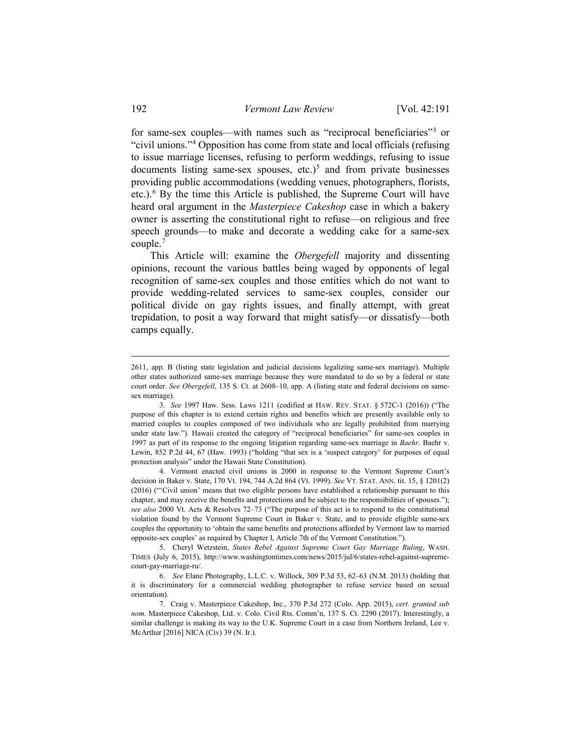for same-sex couples—with names such as "reciprocal beneficiaries["3](#page-1-0) or "civil unions."[4](#page-1-1) Opposition has come from state and local officials (refusing to issue marriage licenses, refusing to perform weddings, refusing to issue documents listing same-sex spouses, etc.)<sup>5</sup> and from private businesses providing public accommodations (wedding venues, photographers, florists, etc.).[6](#page-1-3) By the time this Article is published, the Supreme Court will have heard oral argument in the *Masterpiece Cakeshop* case in which a bakery owner is asserting the constitutional right to refuse—on religious and free speech grounds—to make and decorate a wedding cake for a same-sex couple.[7](#page-1-4)

This Article will: examine the *Obergefell* majority and dissenting opinions, recount the various battles being waged by opponents of legal recognition of same-sex couples and those entities which do not want to provide wedding-related services to same-sex couples, consider our political divide on gay rights issues, and finally attempt, with great trepidation, to posit a way forward that might satisfy—or dissatisfy—both camps equally.

<span id="page-1-1"></span> 4. Vermont enacted civil unions in 2000 in response to the Vermont Supreme Court's decision in Baker v. State, 170 Vt. 194, 744 A.2d 864 (Vt. 1999). *See* VT. STAT. ANN. tit. 15, § 1201(2) (2016) ("'Civil union' means that two eligible persons have established a relationship pursuant to this chapter, and may receive the benefits and protections and be subject to the responsibilities of spouses."); *see also* 2000 Vt. Acts & Resolves 72–73 ("The purpose of this act is to respond to the constitutional violation found by the Vermont Supreme Court in Baker v. State, and to provide eligible same-sex couples the opportunity to 'obtain the same benefits and protections afforded by Vermont law to married opposite-sex couples' as required by Chapter I, Article 7th of the Vermont Constitution.").

 <sup>2611,</sup> app. B (listing state legislation and judicial decisions legalizing same-sex marriage). Multiple other states authorized same-sex marriage because they were mandated to do so by a federal or state court order. *See Obergefell*, 135 S. Ct. at 2608–10, app. A (listing state and federal decisions on samesex marriage).

<span id="page-1-0"></span> <sup>3.</sup> *See* 1997 Haw. Sess. Laws 1211 (codified at HAW. REV. STAT. § 572C-1 (2016)) ("The purpose of this chapter is to extend certain rights and benefits which are presently available only to married couples to couples composed of two individuals who are legally prohibited from marrying under state law."). Hawaii created the category of "reciprocal beneficiaries" for same-sex couples in 1997 as part of its response to the ongoing litigation regarding same-sex marriage in *Baehr*. Baehr v. Lewin, 852 P.2d 44, 67 (Haw. 1993) ("holding "that sex is a 'suspect category' for purposes of equal protection analysis" under the Hawaii State Constitution).

<span id="page-1-2"></span> <sup>5.</sup> Cheryl Wetzstein, *States Rebel Against Supreme Court Gay Marriage Ruling*, WASH. TIMES (July 6, 2015), http://www.washingtontimes.com/news/2015/jul/6/states-rebel-against-supremecourt-gay-marriage-ru/.

<span id="page-1-3"></span> <sup>6.</sup> *See* Elane Photography, L.L.C. v. Willock, 309 P.3d 53, 62–63 (N.M. 2013) (holding that it is discriminatory for a commercial wedding photographer to refuse service based on sexual orientation).

<span id="page-1-4"></span> <sup>7.</sup> Craig v. Masterpiece Cakeshop, Inc., 370 P.3d 272 (Colo. App. 2015), *cert. granted sub nom*. Masterpiece Cakeshop, Ltd. v. Colo. Civil Rts. Comm'n, 137 S. Ct. 2290 (2017). Interestingly, a similar challenge is making its way to the U.K. Supreme Court in a case from Northern Ireland, Lee v. McArthur [2016] NICA (Civ) 39 (N. Ir.).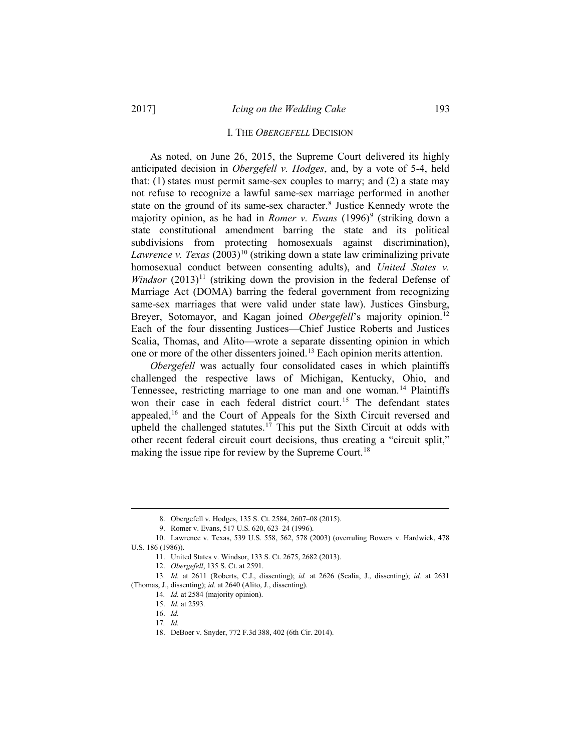#### I. THE *OBERGEFELL* DECISION

As noted, on June 26, 2015, the Supreme Court delivered its highly anticipated decision in *Obergefell v. Hodges*, and, by a vote of 5-4, held that: (1) states must permit same-sex couples to marry; and (2) a state may not refuse to recognize a lawful same-sex marriage performed in another state on the ground of its same-sex character.<sup>[8](#page-2-0)</sup> Justice Kennedy wrote the majority opinion, as he had in *Romer v. Evans* (1[9](#page-2-1)96)<sup>9</sup> (striking down a state constitutional amendment barring the state and its political subdivisions from protecting homosexuals against discrimination), *Lawrence v. Texas* (2003)<sup>[10](#page-2-2)</sup> (striking down a state law criminalizing private homosexual conduct between consenting adults), and *United States v. Windsor*  $(2013)^{11}$  $(2013)^{11}$  $(2013)^{11}$  (striking down the provision in the federal Defense of Marriage Act (DOMA) barring the federal government from recognizing same-sex marriages that were valid under state law). Justices Ginsburg, Breyer, Sotomayor, and Kagan joined *Obergefell*'s majority opinion. [12](#page-2-4) Each of the four dissenting Justices—Chief Justice Roberts and Justices Scalia, Thomas, and Alito—wrote a separate dissenting opinion in which one or more of the other dissenters joined.<sup>13</sup> Each opinion merits attention.

*Obergefell* was actually four consolidated cases in which plaintiffs challenged the respective laws of Michigan, Kentucky, Ohio, and Tennessee, restricting marriage to one man and one woman.<sup>[14](#page-2-6)</sup> Plaintiffs won their case in each federal district court.[15](#page-2-7) The defendant states appealed,<sup>[16](#page-2-8)</sup> and the Court of Appeals for the Sixth Circuit reversed and upheld the challenged statutes.<sup>[17](#page-2-9)</sup> This put the Sixth Circuit at odds with other recent federal circuit court decisions, thus creating a "circuit split," making the issue ripe for review by the Supreme Court.<sup>[18](#page-2-10)</sup>

 <sup>8.</sup> Obergefell v. Hodges, 135 S. Ct. 2584, 2607–08 (2015).

 <sup>9.</sup> Romer v. Evans, 517 U.S. 620, 623–24 (1996).

<span id="page-2-3"></span><span id="page-2-2"></span><span id="page-2-1"></span><span id="page-2-0"></span><sup>10.</sup> Lawrence v. Texas, 539 U.S. 558, 562, 578 (2003) (overruling Bowers v. Hardwick, 478 U.S. 186 (1986)).

<sup>11.</sup> United States v. Windsor, 133 S. Ct. 2675, 2682 (2013).

<sup>12.</sup> *Obergefell*, 135 S. Ct. at 2591.

<span id="page-2-10"></span><span id="page-2-9"></span><span id="page-2-8"></span><span id="page-2-7"></span><span id="page-2-6"></span><span id="page-2-5"></span><span id="page-2-4"></span><sup>13</sup>*. Id.* at 2611 (Roberts, C.J., dissenting); *id.* at 2626 (Scalia, J., dissenting); *id.* at 2631 (Thomas, J., dissenting); *id.* at 2640 (Alito, J., dissenting).

<sup>14</sup>*. Id.* at 2584 (majority opinion).

<sup>15.</sup> *Id.* at 2593*.*

<sup>16.</sup> *Id.* 

<sup>17</sup>*. Id.*

<sup>18.</sup> DeBoer v. Snyder, 772 F.3d 388, 402 (6th Cir. 2014).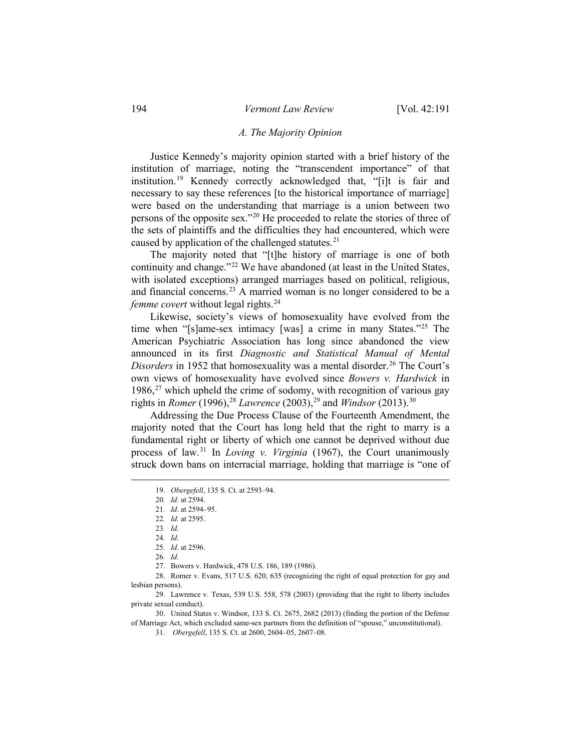#### *A. The Majority Opinion*

Justice Kennedy's majority opinion started with a brief history of the institution of marriage, noting the "transcendent importance" of that institution.<sup>[19](#page-3-0)</sup> Kennedy correctly acknowledged that, "[i]t is fair and necessary to say these references [to the historical importance of marriage] were based on the understanding that marriage is a union between two persons of the opposite sex."[20](#page-3-1) He proceeded to relate the stories of three of the sets of plaintiffs and the difficulties they had encountered, which were caused by application of the challenged statutes. $21$ 

The majority noted that "[t]he history of marriage is one of both continuity and change."<sup>[22](#page-3-3)</sup> We have abandoned (at least in the United States, with isolated exceptions) arranged marriages based on political, religious, and financial concerns.[23](#page-3-4) A married woman is no longer considered to be a *femme covert* without legal rights.<sup>[24](#page-3-5)</sup>

Likewise, society's views of homosexuality have evolved from the time when "[s]ame-sex intimacy [was] a crime in many States."[25](#page-3-6) The American Psychiatric Association has long since abandoned the view announced in its first *Diagnostic and Statistical Manual of Mental Disorders* in 1952 that homosexuality was a mental disorder.<sup>[26](#page-3-7)</sup> The Court's own views of homosexuality have evolved since *Bowers v. Hardwick* in  $1986$ <sup>[27](#page-3-8)</sup> which upheld the crime of sodomy, with recognition of various gay rights in *Romer* (1996),<sup>[28](#page-3-9)</sup> *Lawrence* (2003),<sup>29</sup> and *Windsor* (2013).<sup>30</sup>

<span id="page-3-0"></span>Addressing the Due Process Clause of the Fourteenth Amendment, the majority noted that the Court has long held that the right to marry is a fundamental right or liberty of which one cannot be deprived without due process of law.[31](#page-3-12) In *Loving v. Virginia* (1967), the Court unanimously struck down bans on interracial marriage, holding that marriage is "one of

- 27. Bowers v. Hardwick, 478 U.S. 186, 189 (1986).
- <span id="page-3-9"></span><span id="page-3-8"></span><span id="page-3-7"></span><span id="page-3-6"></span><span id="page-3-5"></span><span id="page-3-4"></span><span id="page-3-3"></span><span id="page-3-2"></span><span id="page-3-1"></span>28. Romer v. Evans, 517 U.S. 620, 635 (recognizing the right of equal protection for gay and lesbian persons).

<span id="page-3-10"></span>29. Lawrence v. Texas, 539 U.S. 558, 578 (2003) (providing that the right to liberty includes private sexual conduct).

<span id="page-3-12"></span><span id="page-3-11"></span>30. United States v. Windsor, 133 S. Ct. 2675, 2682 (2013) (finding the portion of the Defense of Marriage Act, which excluded same-sex partners from the definition of "spouse," unconstitutional).

 <sup>19.</sup> *Obergefell*, 135 S. Ct. at 2593–94.

<sup>20</sup>*. Id.* at 2594.

<sup>21</sup>*. Id.* at 2594–95.

<sup>22</sup>*. Id.* at 2595.

<sup>23</sup>*. Id.*

<sup>24</sup>*. Id.*

<sup>25</sup>*. Id.* at 2596. 26*. Id.*

<sup>31.</sup> *Obergefell*, 135 S. Ct. at 2600, 2604–05, 2607–08.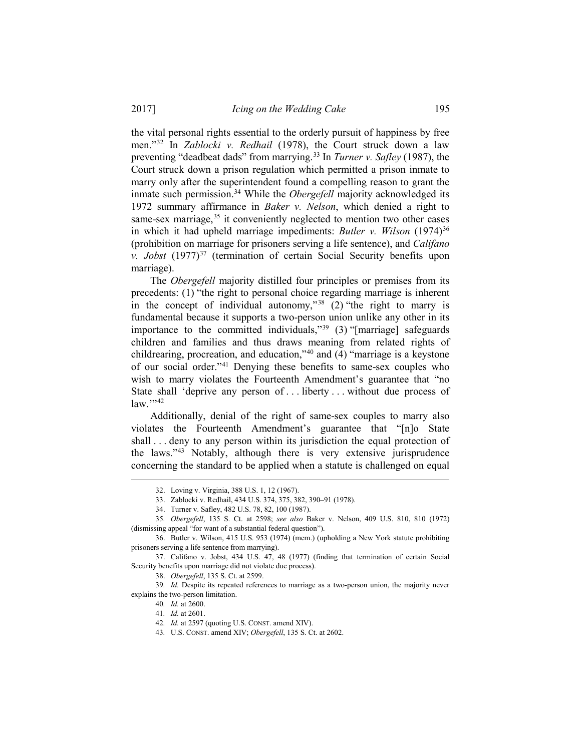the vital personal rights essential to the orderly pursuit of happiness by free men."[32](#page-4-0) In *Zablocki v. Redhail* (1978), the Court struck down a law preventing "deadbeat dads" from marrying. [33](#page-4-1) In *Turner v. Safley* (1987), the Court struck down a prison regulation which permitted a prison inmate to marry only after the superintendent found a compelling reason to grant the inmate such permission.<sup>[34](#page-4-2)</sup> While the *Obergefell* majority acknowledged its 1972 summary affirmance in *Baker v. Nelson*, which denied a right to same-sex marriage,  $35$  it conveniently neglected to mention two other cases in which it had upheld marriage impediments: *Butler v. Wilson* (1974)<sup>[36](#page-4-4)</sup> (prohibition on marriage for prisoners serving a life sentence), and *Califano v. Jobst* (1977)<sup>[37](#page-4-5)</sup> (termination of certain Social Security benefits upon marriage).

The *Obergefell* majority distilled four principles or premises from its precedents: (1) "the right to personal choice regarding marriage is inherent in the concept of individual autonomy,"<sup>[38](#page-4-6)</sup> (2) "the right to marry is fundamental because it supports a two-person union unlike any other in its importance to the committed individuals,"[39](#page-4-7) (3) "[marriage] safeguards children and families and thus draws meaning from related rights of childrearing, procreation, and education,"[40](#page-4-8) and (4) "marriage is a keystone of our social order."[41](#page-4-9) Denying these benefits to same-sex couples who wish to marry violates the Fourteenth Amendment's guarantee that "no State shall 'deprive any person of ... liberty ... without due process of  $law.$ ",[42](#page-4-10)

Additionally, denial of the right of same-sex couples to marry also violates the Fourteenth Amendment's guarantee that "[n]o State shall . . . deny to any person within its jurisdiction the equal protection of the laws.["43](#page-4-11) Notably, although there is very extensive jurisprudence concerning the standard to be applied when a statute is challenged on equal

 <sup>32.</sup> Loving v. Virginia, 388 U.S. 1, 12 (1967).

<sup>33.</sup> Zablocki v. Redhail, 434 U.S. 374, 375, 382, 390–91 (1978).

<sup>34.</sup> Turner v. Safley, 482 U.S. 78, 82, 100 (1987).

<span id="page-4-3"></span><span id="page-4-2"></span><span id="page-4-1"></span><span id="page-4-0"></span><sup>35</sup>*. Obergefell*, 135 S. Ct. at 2598; *see also* Baker v. Nelson, 409 U.S. 810, 810 (1972) (dismissing appeal "for want of a substantial federal question").

<span id="page-4-4"></span><sup>36.</sup> Butler v. Wilson, 415 U.S. 953 (1974) (mem.) (upholding a New York statute prohibiting prisoners serving a life sentence from marrying).

<span id="page-4-6"></span><span id="page-4-5"></span><sup>37.</sup> Califano v. Jobst, 434 U.S. 47, 48 (1977) (finding that termination of certain Social Security benefits upon marriage did not violate due process).

<sup>38.</sup> *Obergefell*, 135 S. Ct. at 2599.

<span id="page-4-11"></span><span id="page-4-10"></span><span id="page-4-9"></span><span id="page-4-8"></span><span id="page-4-7"></span><sup>39</sup>*. Id.* Despite its repeated references to marriage as a two-person union, the majority never explains the two-person limitation.

<sup>40</sup>*. Id.* at 2600.

<sup>41</sup>*. Id.* at 2601.

<sup>42</sup>*. Id.* at 2597 (quoting U.S. CONST. amend XIV).

<sup>43</sup>*.* U.S. CONST. amend XIV; *Obergefell*, 135 S. Ct. at 2602.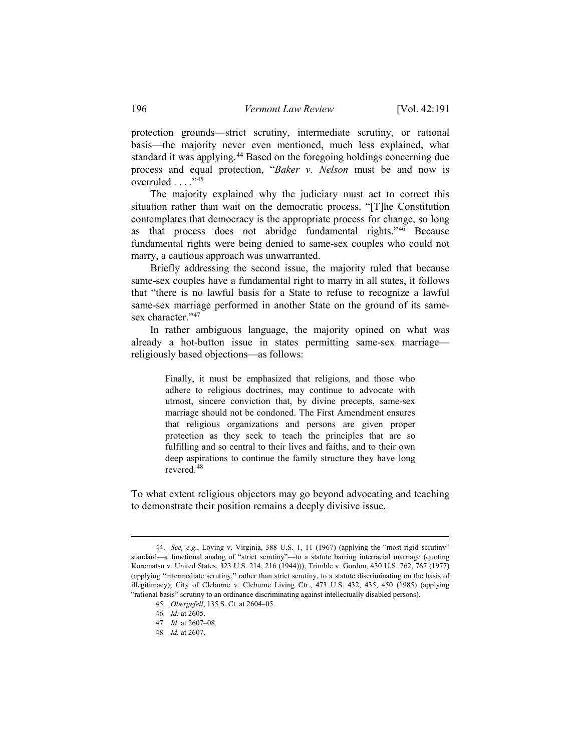protection grounds—strict scrutiny, intermediate scrutiny, or rational basis—the majority never even mentioned, much less explained, what standard it was applying.<sup>[44](#page-5-0)</sup> Based on the foregoing holdings concerning due process and equal protection, "*Baker v. Nelson* must be and now is overruled . . . . "[45](#page-5-1)

The majority explained why the judiciary must act to correct this situation rather than wait on the democratic process. "[T]he Constitution contemplates that democracy is the appropriate process for change, so long as that process does not abridge fundamental rights."[46](#page-5-2) Because fundamental rights were being denied to same-sex couples who could not marry, a cautious approach was unwarranted.

Briefly addressing the second issue, the majority ruled that because same-sex couples have a fundamental right to marry in all states, it follows that "there is no lawful basis for a State to refuse to recognize a lawful same-sex marriage performed in another State on the ground of its same-sex character."[47](#page-5-3)

In rather ambiguous language, the majority opined on what was already a hot-button issue in states permitting same-sex marriage religiously based objections—as follows:

> Finally, it must be emphasized that religions, and those who adhere to religious doctrines, may continue to advocate with utmost, sincere conviction that, by divine precepts, same-sex marriage should not be condoned. The First Amendment ensures that religious organizations and persons are given proper protection as they seek to teach the principles that are so fulfilling and so central to their lives and faiths, and to their own deep aspirations to continue the family structure they have long revered.[48](#page-5-4)

To what extent religious objectors may go beyond advocating and teaching to demonstrate their position remains a deeply divisive issue.

<span id="page-5-3"></span><span id="page-5-2"></span><span id="page-5-1"></span><span id="page-5-0"></span> <sup>44.</sup> *See, e.g.*, Loving v. Virginia, 388 U.S. 1, 11 (1967) (applying the "most rigid scrutiny" standard—a functional analog of "strict scrutiny"—to a statute barring interracial marriage (quoting Korematsu v. United States, 323 U.S. 214, 216 (1944))); Trimble v. Gordon, 430 U.S. 762, 767 (1977) (applying "intermediate scrutiny," rather than strict scrutiny, to a statute discriminating on the basis of illegitimacy); City of Cleburne v. Cleburne Living Ctr., 473 U.S. 432, 435, 450 (1985) (applying "rational basis" scrutiny to an ordinance discriminating against intellectually disabled persons).

<sup>45.</sup> *Obergefell*, 135 S. Ct. at 2604–05.

<sup>46</sup>*. Id.* at 2605.

<sup>47</sup>*. Id*. at 2607–08.

<span id="page-5-4"></span><sup>48</sup>*. Id.* at 2607.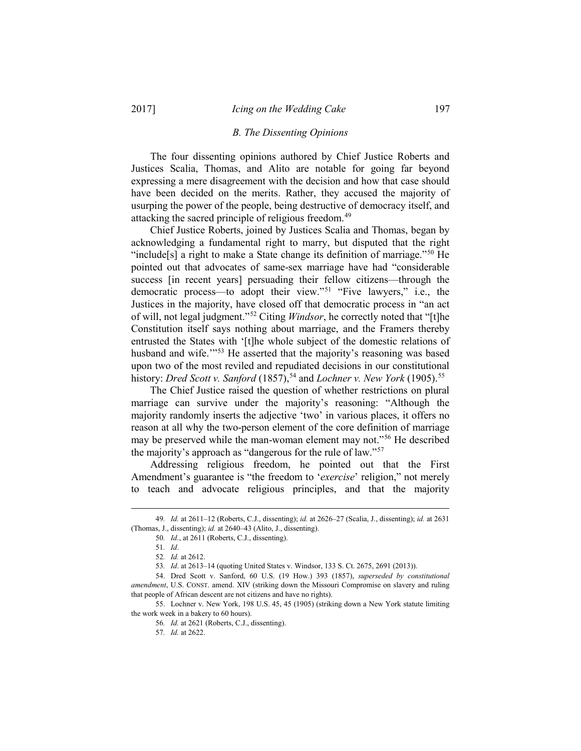#### *B. The Dissenting Opinions*

The four dissenting opinions authored by Chief Justice Roberts and Justices Scalia, Thomas, and Alito are notable for going far beyond expressing a mere disagreement with the decision and how that case should have been decided on the merits. Rather, they accused the majority of usurping the power of the people, being destructive of democracy itself, and attacking the sacred principle of religious freedom.<sup>[49](#page-6-0)</sup>

Chief Justice Roberts, joined by Justices Scalia and Thomas, began by acknowledging a fundamental right to marry, but disputed that the right "include<sup>[s]</sup> a right to make a State change its definition of marriage."<sup>[50](#page-6-1)</sup> He pointed out that advocates of same-sex marriage have had "considerable success [in recent years] persuading their fellow citizens—through the democratic process—to adopt their view."[51](#page-6-2) "Five lawyers," i.e., the Justices in the majority, have closed off that democratic process in "an act of will, not legal judgment."[52](#page-6-3) Citing *Windsor*, he correctly noted that "[t]he Constitution itself says nothing about marriage, and the Framers thereby entrusted the States with '[t]he whole subject of the domestic relations of husband and wife."<sup>[53](#page-6-4)</sup> He asserted that the majority's reasoning was based upon two of the most reviled and repudiated decisions in our constitutional history: *Dred Scott v. Sanford* (1857),<sup>[54](#page-6-5)</sup> and *Lochner v. New York* (1905).<sup>[55](#page-6-6)</sup>

The Chief Justice raised the question of whether restrictions on plural marriage can survive under the majority's reasoning: "Although the majority randomly inserts the adjective 'two' in various places, it offers no reason at all why the two-person element of the core definition of marriage may be preserved while the man-woman element may not."[56](#page-6-7) He described the majority's approach as "dangerous for the rule of law."[57](#page-6-8)

Addressing religious freedom, he pointed out that the First Amendment's guarantee is "the freedom to '*exercise*' religion," not merely to teach and advocate religious principles, and that the majority

<span id="page-6-2"></span><span id="page-6-1"></span><span id="page-6-0"></span> <sup>49</sup>*. Id.* at 2611–12 (Roberts, C.J., dissenting); *id.* at 2626–27 (Scalia, J., dissenting); *id.* at 2631 (Thomas, J., dissenting); *id.* at 2640–43 (Alito, J., dissenting).

<sup>50</sup>*. Id*., at 2611 (Roberts, C.J., dissenting).

<sup>51</sup>*. Id*.

<sup>52</sup>*. Id.* at 2612.

<sup>53</sup>*. Id*. at 2613–14 (quoting United States v. Windsor, 133 S. Ct. 2675, 2691 (2013)).

<span id="page-6-5"></span><span id="page-6-4"></span><span id="page-6-3"></span><sup>54.</sup> Dred Scott v. Sanford, 60 U.S. (19 How.) 393 (1857), *superseded by constitutional amendment*, U.S. CONST. amend. XIV (striking down the Missouri Compromise on slavery and ruling that people of African descent are not citizens and have no rights).

<span id="page-6-8"></span><span id="page-6-7"></span><span id="page-6-6"></span><sup>55.</sup> Lochner v. New York, 198 U.S. 45, 45 (1905) (striking down a New York statute limiting the work week in a bakery to 60 hours).

<sup>56</sup>*. Id.* at 2621 (Roberts, C.J., dissenting).

<sup>57</sup>*. Id.* at 2622.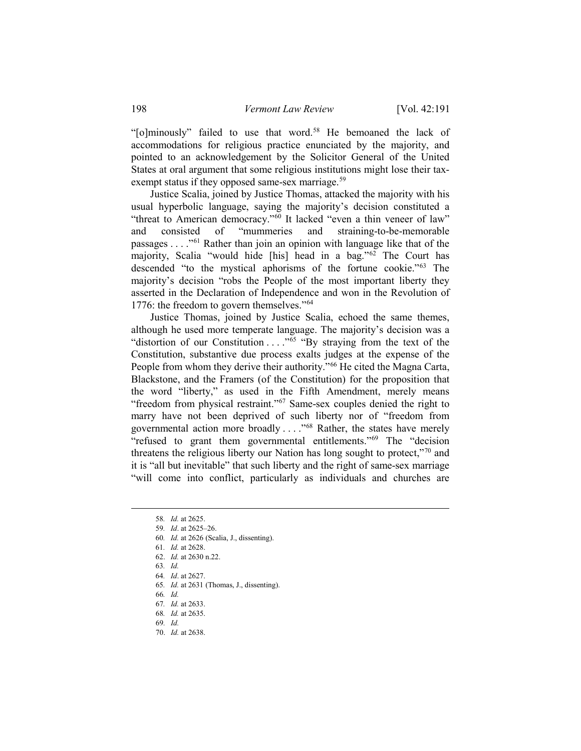"[o]minously" failed to use that word.<sup>[58](#page-7-0)</sup> He bemoaned the lack of accommodations for religious practice enunciated by the majority, and pointed to an acknowledgement by the Solicitor General of the United States at oral argument that some religious institutions might lose their tax-exempt status if they opposed same-sex marriage.<sup>[59](#page-7-1)</sup>

Justice Scalia, joined by Justice Thomas, attacked the majority with his usual hyperbolic language, saying the majority's decision constituted a "threat to American democracy."<sup>[60](#page-7-2)</sup> It lacked "even a thin veneer of law"<br>and consisted of "mummeries and straining-to-be-memorable and consisted of "mummeries and straining-to-be-memorable passages . . . ."[61](#page-7-3) Rather than join an opinion with language like that of the majority, Scalia "would hide [his] head in a bag."[62](#page-7-4) The Court has descended "to the mystical aphorisms of the fortune cookie."[63](#page-7-5) The majority's decision "robs the People of the most important liberty they asserted in the Declaration of Independence and won in the Revolution of 1776: the freedom to govern themselves."<sup>[64](#page-7-6)</sup>

Justice Thomas, joined by Justice Scalia, echoed the same themes, although he used more temperate language. The majority's decision was a "distortion of our Constitution  $\ldots$ ."<sup>[65](#page-7-7)</sup> "By straying from the text of the Constitution, substantive due process exalts judges at the expense of the People from whom they derive their authority."<sup>[66](#page-7-8)</sup> He cited the Magna Carta, Blackstone, and the Framers (of the Constitution) for the proposition that the word "liberty," as used in the Fifth Amendment, merely means "freedom from physical restraint."<sup>[67](#page-7-9)</sup> Same-sex couples denied the right to marry have not been deprived of such liberty nor of "freedom from governmental action more broadly . . . ."[68](#page-7-10) Rather, the states have merely "refused to grant them governmental entitlements."[69](#page-7-11) The "decision threatens the religious liberty our Nation has long sought to protect,"[70](#page-7-12) and it is "all but inevitable" that such liberty and the right of same-sex marriage "will come into conflict, particularly as individuals and churches are

- <span id="page-7-6"></span>64*. Id*. at 2627.
- <span id="page-7-7"></span>65*. Id.* at 2631 (Thomas, J., dissenting).
- <span id="page-7-8"></span>66*. Id.*
- <span id="page-7-9"></span>67*. Id.* at 2633.
- <span id="page-7-10"></span>68*. Id.* at 2635.
- <span id="page-7-11"></span>69*. Id.*
- <span id="page-7-12"></span>70. *Id.* at 2638.

 <sup>58</sup>*. Id.* at 2625.

<span id="page-7-3"></span><span id="page-7-2"></span><span id="page-7-1"></span><span id="page-7-0"></span><sup>59</sup>*. Id*. at 2625–26.

<sup>60</sup>*. Id.* at 2626 (Scalia, J., dissenting).

<sup>61</sup>*. Id.* at 2628.

<span id="page-7-4"></span><sup>62.</sup> *Id.* at 2630 n.22.

<span id="page-7-5"></span><sup>63</sup>*. Id.*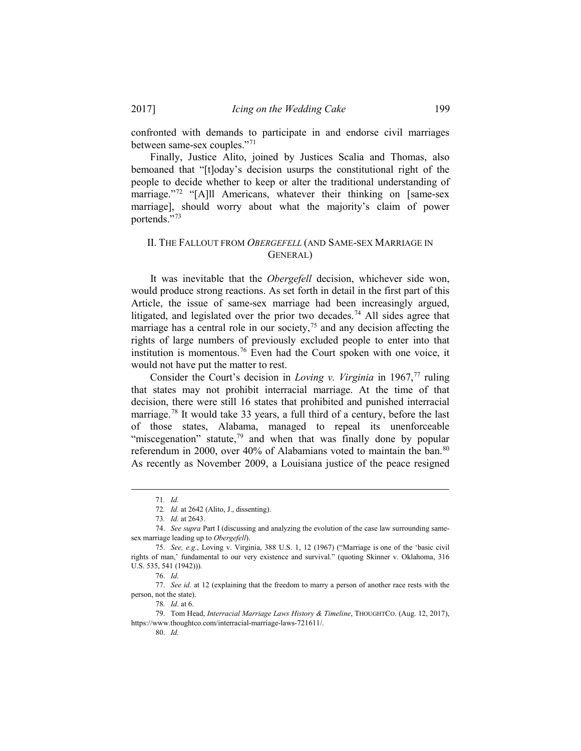confronted with demands to participate in and endorse civil marriages between same-sex couples."[71](#page-8-0)

Finally, Justice Alito, joined by Justices Scalia and Thomas, also bemoaned that "[t]oday's decision usurps the constitutional right of the people to decide whether to keep or alter the traditional understanding of marriage."<sup>[72](#page-8-1)</sup> "[A]ll Americans, whatever their thinking on [same-sex marriage], should worry about what the majority's claim of power portends."[73](#page-8-2)

## II. THE FALLOUT FROM *OBERGEFELL* (AND SAME-SEX MARRIAGE IN GENERAL)

It was inevitable that the *Obergefell* decision, whichever side won, would produce strong reactions. As set forth in detail in the first part of this Article, the issue of same-sex marriage had been increasingly argued, litigated, and legislated over the prior two decades. [74](#page-8-3) All sides agree that marriage has a central role in our society, $7<sup>5</sup>$  and any decision affecting the rights of large numbers of previously excluded people to enter into that institution is momentous.<sup>[76](#page-8-5)</sup> Even had the Court spoken with one voice, it would not have put the matter to rest.

Consider the Court's decision in *Loving v. Virginia* in 1967,<sup>[77](#page-8-6)</sup> ruling that states may not prohibit interracial marriage. At the time of that decision, there were still 16 states that prohibited and punished interracial marriage. [78](#page-8-7) It would take 33 years, a full third of a century, before the last of those states, Alabama, managed to repeal its unenforceable "miscegenation" statute, $79$  and when that was finally done by popular referendum in 2000, over 40% of Alabamians voted to maintain the ban.<sup>[80](#page-8-9)</sup> As recently as November 2009, a Louisiana justice of the peace resigned

 <sup>71</sup>*. Id.* 

<sup>72</sup>*. Id.* at 2642 (Alito, J., dissenting).

<sup>73</sup>*. Id.* at 2643.

<span id="page-8-3"></span><span id="page-8-2"></span><span id="page-8-1"></span><span id="page-8-0"></span><sup>74.</sup> *See supra* Part I (discussing and analyzing the evolution of the case law surrounding samesex marriage leading up to *Obergefell*).

<span id="page-8-4"></span><sup>75.</sup> *See, e.g.*, Loving v. Virginia, 388 U.S. 1, 12 (1967) ("Marriage is one of the 'basic civil rights of man,' fundamental to our very existence and survival." (quoting Skinner v. Oklahoma, 316 U.S. 535, 541 (1942))).

<sup>76.</sup> *Id.* 

<span id="page-8-6"></span><span id="page-8-5"></span><sup>77.</sup> *See id.* at 12 (explaining that the freedom to marry a person of another race rests with the person, not the state).

<sup>78</sup>*. Id*. at 6.

<span id="page-8-9"></span><span id="page-8-8"></span><span id="page-8-7"></span><sup>79.</sup> Tom Head, *Interracial Marriage Laws History & Timeline*, THOUGHTCO. (Aug. 12, 2017), https://www.thoughtco.com/interracial-marriage-laws-721611/.

<sup>80.</sup> *Id.*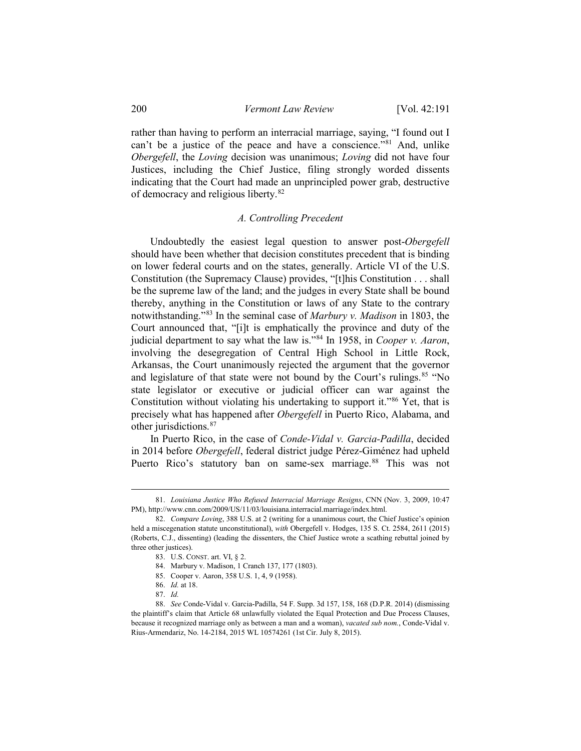rather than having to perform an interracial marriage, saying, "I found out I can't be a justice of the peace and have a conscience."<sup>[81](#page-9-0)</sup> And, unlike *Obergefell*, the *Loving* decision was unanimous; *Loving* did not have four Justices, including the Chief Justice, filing strongly worded dissents indicating that the Court had made an unprincipled power grab, destructive of democracy and religious liberty.[82](#page-9-1)

## *A. Controlling Precedent*

Undoubtedly the easiest legal question to answer post-*Obergefell* should have been whether that decision constitutes precedent that is binding on lower federal courts and on the states, generally. Article VI of the U.S. Constitution (the Supremacy Clause) provides, "[t]his Constitution . . . shall be the supreme law of the land; and the judges in every State shall be bound thereby, anything in the Constitution or laws of any State to the contrary notwithstanding."[83](#page-9-2) In the seminal case of *Marbury v. Madison* in 1803, the Court announced that, "[i]t is emphatically the province and duty of the judicial department to say what the law is.["84](#page-9-3) In 1958, in *Cooper v. Aaron*, involving the desegregation of Central High School in Little Rock, Arkansas, the Court unanimously rejected the argument that the governor and legislature of that state were not bound by the Court's rulings.<sup>[85](#page-9-4)</sup> "No state legislator or executive or judicial officer can war against the Constitution without violating his undertaking to support it."<sup>[86](#page-9-5)</sup> Yet, that is precisely what has happened after *Obergefell* in Puerto Rico, Alabama, and other jurisdictions.[87](#page-9-6)

In Puerto Rico, in the case of *Conde-Vidal v. Garcia-Padilla*, decided in 2014 before *Obergefell*, federal district judge Pérez-Giménez had upheld Puerto Rico's statutory ban on same-sex marriage.<sup>[88](#page-9-7)</sup> This was not

<span id="page-9-0"></span> <sup>81.</sup> *Louisiana Justice Who Refused Interracial Marriage Resigns*, CNN (Nov. 3, 2009, 10:47 PM), http://www.cnn.com/2009/US/11/03/louisiana.interracial.marriage/index.html.

<span id="page-9-2"></span><span id="page-9-1"></span><sup>82.</sup> *Compare Loving*, 388 U.S. at 2 (writing for a unanimous court, the Chief Justice's opinion held a miscegenation statute unconstitutional), *with* Obergefell v. Hodges, 135 S. Ct. 2584, 2611 (2015) (Roberts, C.J., dissenting) (leading the dissenters, the Chief Justice wrote a scathing rebuttal joined by three other justices).

<sup>83.</sup> U.S. CONST. art. VI, § 2.

<sup>84.</sup> Marbury v. Madison, 1 Cranch 137, 177 (1803).

<sup>85.</sup> Cooper v. Aaron, 358 U.S. 1, 4, 9 (1958).

<sup>86.</sup> *Id.* at 18.

<sup>87.</sup> *Id.*

<span id="page-9-7"></span><span id="page-9-6"></span><span id="page-9-5"></span><span id="page-9-4"></span><span id="page-9-3"></span><sup>88.</sup> *See* Conde-Vidal v. Garcia-Padilla, 54 F. Supp. 3d 157, 158, 168 (D.P.R. 2014) (dismissing the plaintiff's claim that Article 68 unlawfully violated the Equal Protection and Due Process Clauses, because it recognized marriage only as between a man and a woman), *vacated sub nom.*, Conde-Vidal v. Rius-Armendariz, No. 14-2184, 2015 WL 10574261 (1st Cir. July 8, 2015).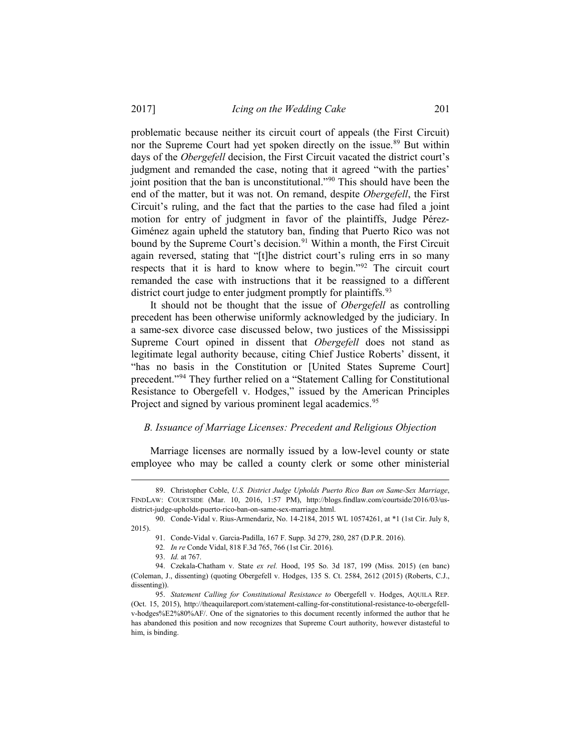problematic because neither its circuit court of appeals (the First Circuit) nor the Supreme Court had yet spoken directly on the issue. [89](#page-10-0) But within days of the *Obergefell* decision, the First Circuit vacated the district court's judgment and remanded the case, noting that it agreed "with the parties' joint position that the ban is unconstitutional."<sup>[90](#page-10-1)</sup> This should have been the end of the matter, but it was not. On remand, despite *Obergefell*, the First Circuit's ruling, and the fact that the parties to the case had filed a joint motion for entry of judgment in favor of the plaintiffs, Judge Pérez-Giménez again upheld the statutory ban, finding that Puerto Rico was not bound by the Supreme Court's decision. [91](#page-10-2) Within a month, the First Circuit again reversed, stating that "[t]he district court's ruling errs in so many respects that it is hard to know where to begin."[92](#page-10-3) The circuit court remanded the case with instructions that it be reassigned to a different district court judge to enter judgment promptly for plaintiffs.<sup>[93](#page-10-4)</sup>

It should not be thought that the issue of *Obergefell* as controlling precedent has been otherwise uniformly acknowledged by the judiciary. In a same-sex divorce case discussed below, two justices of the Mississippi Supreme Court opined in dissent that *Obergefell* does not stand as legitimate legal authority because, citing Chief Justice Roberts' dissent, it "has no basis in the Constitution or [United States Supreme Court] precedent."[94](#page-10-5) They further relied on a "Statement Calling for Constitutional Resistance to Obergefell v. Hodges," issued by the American Principles Project and signed by various prominent legal academics.<sup>[95](#page-10-6)</sup>

## *B. Issuance of Marriage Licenses: Precedent and Religious Objection*

Marriage licenses are normally issued by a low-level county or state employee who may be called a county clerk or some other ministerial

<span id="page-10-0"></span> <sup>89.</sup> Christopher Coble, *U.S. District Judge Upholds Puerto Rico Ban on Same-Sex Marriage*, FINDLAW: COURTSIDE (Mar. 10, 2016, 1:57 PM), http://blogs.findlaw.com/courtside/2016/03/usdistrict-judge-upholds-puerto-rico-ban-on-same-sex-marriage.html.

<span id="page-10-2"></span><span id="page-10-1"></span><sup>90.</sup> Conde-Vidal v. Rius-Armendariz, No. 14-2184, 2015 WL 10574261, at \*1 (1st Cir. July 8, 2015).

<sup>91.</sup> Conde-Vidal v. Garcia-Padilla, 167 F. Supp. 3d 279, 280, 287 (D.P.R. 2016).

<sup>92</sup>*. In re* Conde Vidal, 818 F.3d 765, 766 (1st Cir. 2016).

<sup>93.</sup> *Id.* at 767.

<span id="page-10-5"></span><span id="page-10-4"></span><span id="page-10-3"></span><sup>94.</sup> Czekala-Chatham v. State *ex rel.* Hood, 195 So. 3d 187, 199 (Miss. 2015) (en banc) (Coleman, J., dissenting) (quoting Obergefell v. Hodges, 135 S. Ct. 2584, 2612 (2015) (Roberts, C.J., dissenting)).

<span id="page-10-6"></span><sup>95.</sup> *Statement Calling for Constitutional Resistance to* Obergefell v. Hodges, AQUILA REP. (Oct. 15, 2015), http://theaquilareport.com/statement-calling-for-constitutional-resistance-to-obergefellv-hodges%E2%80%AF/. One of the signatories to this document recently informed the author that he has abandoned this position and now recognizes that Supreme Court authority, however distasteful to him, is binding.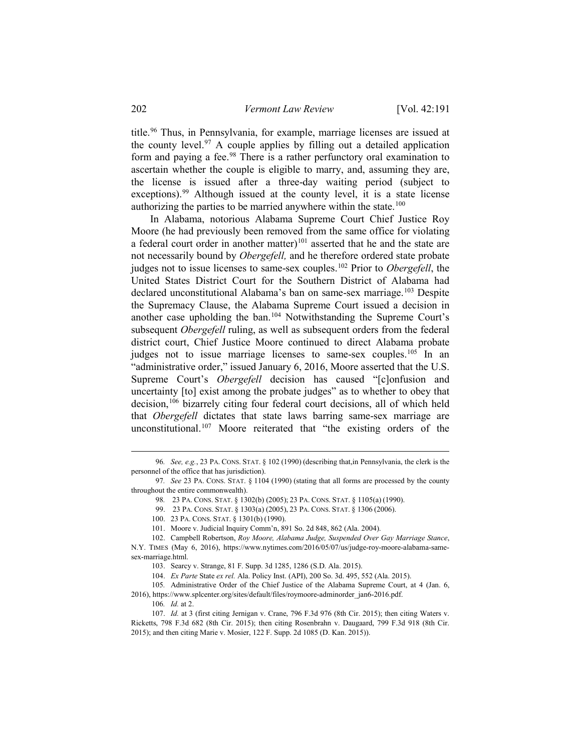title.<sup>[96](#page-11-0)</sup> Thus, in Pennsylvania, for example, marriage licenses are issued at the county level.<sup>97</sup> A couple applies by filling out a detailed application form and paying a fee.<sup>[98](#page-11-2)</sup> There is a rather perfunctory oral examination to ascertain whether the couple is eligible to marry, and, assuming they are, the license is issued after a three-day waiting period (subject to exceptions).<sup>[99](#page-11-3)</sup> Although issued at the county level, it is a state license authorizing the parties to be married anywhere within the state.<sup>[100](#page-11-4)</sup>

In Alabama, notorious Alabama Supreme Court Chief Justice Roy Moore (he had previously been removed from the same office for violating a federal court order in another matter)<sup>[101](#page-11-5)</sup> asserted that he and the state are not necessarily bound by *Obergefell,* and he therefore ordered state probate judges not to issue licenses to same-sex couples.[102](#page-11-6) Prior to *Obergefell*, the United States District Court for the Southern District of Alabama had declared unconstitutional Alabama's ban on same-sex marriage.<sup>[103](#page-11-7)</sup> Despite the Supremacy Clause, the Alabama Supreme Court issued a decision in another case upholding the ban.[104](#page-11-8) Notwithstanding the Supreme Court's subsequent *Obergefell* ruling, as well as subsequent orders from the federal district court, Chief Justice Moore continued to direct Alabama probate judges not to issue marriage licenses to same-sex couples.<sup>105</sup> In an "administrative order," issued January 6, 2016, Moore asserted that the U.S. Supreme Court's *Obergefell* decision has caused "[c]onfusion and uncertainty [to] exist among the probate judges" as to whether to obey that decision, [106](#page-11-10) bizarrely citing four federal court decisions, all of which held that *Obergefell* dictates that state laws barring same-sex marriage are unconstitutional.<sup>107</sup> Moore reiterated that "the existing orders of the

<span id="page-11-0"></span> <sup>96</sup>*. See, e.g.*, 23 PA. CONS. STAT. § 102 (1990) (describing that,in Pennsylvania, the clerk is the personnel of the office that has jurisdiction).

<span id="page-11-3"></span><span id="page-11-2"></span><span id="page-11-1"></span><sup>97</sup>*. See* 23 PA. CONS. STAT. § 1104 (1990) (stating that all forms are processed by the county throughout the entire commonwealth).

<sup>98</sup>*.* 23 PA. CONS. STAT. § 1302(b) (2005); 23 PA. CONS. STAT. § 1105(a) (1990).

<sup>99. 23</sup> PA. CONS. STAT. § 1303(a) (2005), 23 PA. CONS. STAT. § 1306 (2006).

<sup>100. 23</sup> PA. CONS. STAT. § 1301(b) (1990).

<sup>101.</sup> Moore v. Judicial Inquiry Comm'n, 891 So. 2d 848, 862 (Ala. 2004).

<span id="page-11-7"></span><span id="page-11-6"></span><span id="page-11-5"></span><span id="page-11-4"></span><sup>102.</sup> Campbell Robertson, *Roy Moore, Alabama Judge, Suspended Over Gay Marriage Stance*, N.Y. TIMES (May 6, 2016), https://www.nytimes.com/2016/05/07/us/judge-roy-moore-alabama-samesex-marriage.html.

<sup>103.</sup> Searcy v. Strange, 81 F. Supp. 3d 1285, 1286 (S.D. Ala. 2015).

<sup>104.</sup> *Ex Parte* State *ex rel.* Ala. Policy Inst. (API), 200 So. 3d. 495, 552 (Ala. 2015).

<sup>105</sup>*.* Administrative Order of the Chief Justice of the Alabama Supreme Court, at 4 (Jan. 6,

<span id="page-11-10"></span><span id="page-11-9"></span><span id="page-11-8"></span><sup>2016),</sup> https://www.splcenter.org/sites/default/files/roymoore-adminorder\_jan6-2016.pdf. 106*. Id.* at 2.

<span id="page-11-11"></span><sup>107.</sup> *Id.* at 3 (first citing Jernigan v. Crane, 796 F.3d 976 (8th Cir. 2015); then citing Waters v. Ricketts, 798 F.3d 682 (8th Cir. 2015); then citing Rosenbrahn v. Daugaard, 799 F.3d 918 (8th Cir. 2015); and then citing Marie v. Mosier, 122 F. Supp. 2d 1085 (D. Kan. 2015)).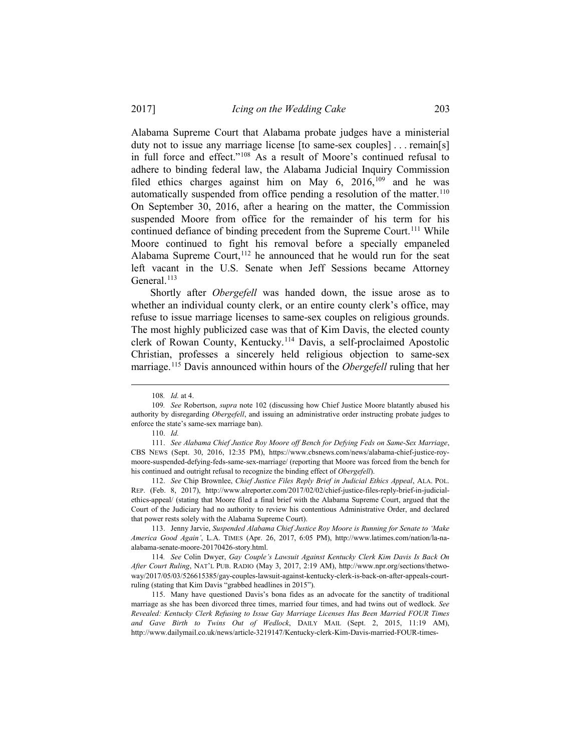Alabama Supreme Court that Alabama probate judges have a ministerial duty not to issue any marriage license [to same-sex couples] . . . remain[s] in full force and effect."[108](#page-12-0) As a result of Moore's continued refusal to adhere to binding federal law, the Alabama Judicial Inquiry Commission filed ethics charges against him on May 6, 2016,<sup>[109](#page-12-1)</sup> and he was automatically suspended from office pending a resolution of the matter.<sup>[110](#page-12-2)</sup> On September 30, 2016, after a hearing on the matter, the Commission suspended Moore from office for the remainder of his term for his continued defiance of binding precedent from the Supreme Court.<sup>[111](#page-12-3)</sup> While Moore continued to fight his removal before a specially empaneled Alabama Supreme Court,  $12$  he announced that he would run for the seat left vacant in the U.S. Senate when Jeff Sessions became Attorney General.<sup>[113](#page-12-5)</sup>

Shortly after *Obergefell* was handed down, the issue arose as to whether an individual county clerk, or an entire county clerk's office, may refuse to issue marriage licenses to same-sex couples on religious grounds. The most highly publicized case was that of Kim Davis, the elected county clerk of Rowan County, Kentucky. [114](#page-12-6) Davis, a self-proclaimed Apostolic Christian, professes a sincerely held religious objection to same-sex marriage. [115](#page-12-7) Davis announced within hours of the *Obergefell* ruling that her

<span id="page-12-4"></span>112. *See* Chip Brownlee, *Chief Justice Files Reply Brief in Judicial Ethics Appeal*, ALA. POL. REP. (Feb. 8, 2017), http://www.alreporter.com/2017/02/02/chief-justice-files-reply-brief-in-judicialethics-appeal/ (stating that Moore filed a final brief with the Alabama Supreme Court, argued that the Court of the Judiciary had no authority to review his contentious Administrative Order, and declared that power rests solely with the Alabama Supreme Court).

<span id="page-12-5"></span>113. Jenny Jarvie, *Suspended Alabama Chief Justice Roy Moore is Running for Senate to 'Make America Good Again'*, L.A. TIMES (Apr. 26, 2017, 6:05 PM), http://www.latimes.com/nation/la-naalabama-senate-moore-20170426-story.html.

<span id="page-12-6"></span>114*. See* Colin Dwyer, *Gay Couple's Lawsuit Against Kentucky Clerk Kim Davis Is Back On After Court Ruling*, NAT'L PUB. RADIO (May 3, 2017, 2:19 AM), http://www.npr.org/sections/thetwoway/2017/05/03/526615385/gay-couples-lawsuit-against-kentucky-clerk-is-back-on-after-appeals-courtruling (stating that Kim Davis "grabbed headlines in 2015").

<span id="page-12-7"></span>115. Many have questioned Davis's bona fides as an advocate for the sanctity of traditional marriage as she has been divorced three times, married four times, and had twins out of wedlock. *See Revealed: Kentucky Clerk Refusing to Issue Gay Marriage Licenses Has Been Married FOUR Times and Gave Birth to Twins Out of Wedlock*, DAILY MAIL (Sept. 2, 2015, 11:19 AM), http://www.dailymail.co.uk/news/article-3219147/Kentucky-clerk-Kim-Davis-married-FOUR-times-

 <sup>108</sup>*. Id.* at 4.

<span id="page-12-1"></span><span id="page-12-0"></span><sup>109</sup>*. See* Robertson, *supra* note 102 (discussing how Chief Justice Moore blatantly abused his authority by disregarding *Obergefell*, and issuing an administrative order instructing probate judges to enforce the state's same-sex marriage ban).

<sup>110.</sup> *Id.*

<span id="page-12-3"></span><span id="page-12-2"></span><sup>111.</sup> *See Alabama Chief Justice Roy Moore off Bench for Defying Feds on Same-Sex Marriage*, CBS NEWS (Sept. 30, 2016, 12:35 PM), https://www.cbsnews.com/news/alabama-chief-justice-roymoore-suspended-defying-feds-same-sex-marriage/ (reporting that Moore was forced from the bench for his continued and outright refusal to recognize the binding effect of *Obergefell*).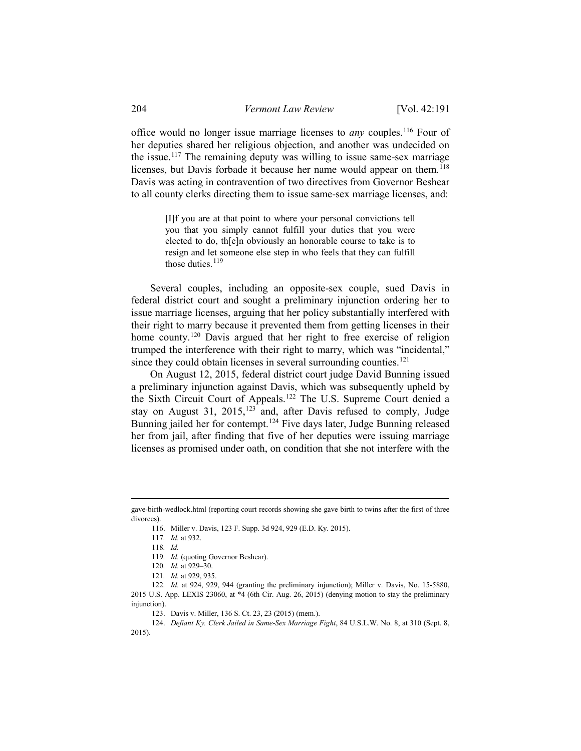office would no longer issue marriage licenses to *any* couples.[116](#page-13-0) Four of her deputies shared her religious objection, and another was undecided on the issue.<sup>117</sup> The remaining deputy was willing to issue same-sex marriage licenses, but Davis forbade it because her name would appear on them.<sup>[118](#page-13-2)</sup> Davis was acting in contravention of two directives from Governor Beshear to all county clerks directing them to issue same-sex marriage licenses, and:

> [I]f you are at that point to where your personal convictions tell you that you simply cannot fulfill your duties that you were elected to do, th[e]n obviously an honorable course to take is to resign and let someone else step in who feels that they can fulfill those duties. $119$

Several couples, including an opposite-sex couple, sued Davis in federal district court and sought a preliminary injunction ordering her to issue marriage licenses, arguing that her policy substantially interfered with their right to marry because it prevented them from getting licenses in their home county. [120](#page-13-4) Davis argued that her right to free exercise of religion trumped the interference with their right to marry, which was "incidental," since they could obtain licenses in several surrounding counties.<sup>[121](#page-13-5)</sup>

On August 12, 2015, federal district court judge David Bunning issued a preliminary injunction against Davis, which was subsequently upheld by the Sixth Circuit Court of Appeals. [122](#page-13-6) The U.S. Supreme Court denied a stay on August 31,  $2015$ ,  $123$  and, after Davis refused to comply, Judge Bunning jailed her for contempt. [124](#page-13-8) Five days later, Judge Bunning released her from jail, after finding that five of her deputies were issuing marriage licenses as promised under oath, on condition that she not interfere with the

<span id="page-13-2"></span><span id="page-13-1"></span><span id="page-13-0"></span>gave-birth-wedlock.html (reporting court records showing she gave birth to twins after the first of three divorces).

<sup>116.</sup> Miller v. Davis, 123 F. Supp. 3d 924, 929 (E.D. Ky. 2015).

<sup>117</sup>*. Id.* at 932.

<sup>118</sup>*. Id.*

<sup>119</sup>*. Id.* (quoting Governor Beshear).

<sup>120</sup>*. Id.* at 929–30.

<sup>121</sup>*. Id.* at 929, 935.

<span id="page-13-6"></span><span id="page-13-5"></span><span id="page-13-4"></span><span id="page-13-3"></span><sup>122</sup>*. Id.* at 924, 929, 944 (granting the preliminary injunction); Miller v. Davis, No. 15-5880, 2015 U.S. App. LEXIS 23060, at \*4 (6th Cir. Aug. 26, 2015) (denying motion to stay the preliminary injunction).

<sup>123.</sup> Davis v. Miller, 136 S. Ct. 23, 23 (2015) (mem.).

<span id="page-13-8"></span><span id="page-13-7"></span><sup>124.</sup> *Defiant Ky. Clerk Jailed in Same-Sex Marriage Fight*, 84 U.S.L.W. No. 8, at 310 (Sept. 8, 2015).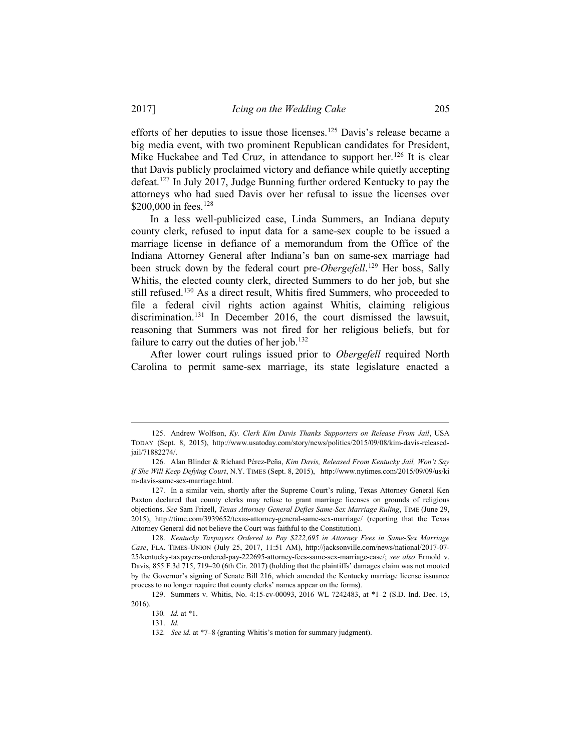efforts of her deputies to issue those licenses[.125](#page-14-0) Davis's release became a big media event, with two prominent Republican candidates for President, Mike Huckabee and Ted Cruz, in attendance to support her.<sup>[126](#page-14-1)</sup> It is clear that Davis publicly proclaimed victory and defiance while quietly accepting defeat[.127](#page-14-2) In July 2017, Judge Bunning further ordered Kentucky to pay the attorneys who had sued Davis over her refusal to issue the licenses over \$200,000 in fees. [128](#page-14-3)

In a less well-publicized case, Linda Summers, an Indiana deputy county clerk, refused to input data for a same-sex couple to be issued a marriage license in defiance of a memorandum from the Office of the Indiana Attorney General after Indiana's ban on same-sex marriage had been struck down by the federal court pre-*Obergefell*. [129](#page-14-4) Her boss, Sally Whitis, the elected county clerk, directed Summers to do her job, but she still refused.[130](#page-14-5) As a direct result, Whitis fired Summers, who proceeded to file a federal civil rights action against Whitis, claiming religious discrimination.<sup>[131](#page-14-6)</sup> In December 2016, the court dismissed the lawsuit, reasoning that Summers was not fired for her religious beliefs, but for failure to carry out the duties of her job.<sup>132</sup>

After lower court rulings issued prior to *Obergefell* required North Carolina to permit same-sex marriage, its state legislature enacted a

<span id="page-14-7"></span><span id="page-14-6"></span><span id="page-14-5"></span><span id="page-14-4"></span>129. Summers v. Whitis, No. 4:15-cv-00093, 2016 WL 7242483, at \*1–2 (S.D. Ind. Dec. 15, 2016).

<span id="page-14-0"></span> <sup>125.</sup> Andrew Wolfson, *Ky. Clerk Kim Davis Thanks Supporters on Release From Jail*, USA TODAY (Sept. 8, 2015), http://www.usatoday.com/story/news/politics/2015/09/08/kim-davis-releasedjail/71882274/.

<span id="page-14-1"></span><sup>126.</sup> Alan Blinder & Richard Pérez-Peña, *Kim Davis, Released From Kentucky Jail, Won't Say If She Will Keep Defying Court*, N.Y. TIMES (Sept. 8, 2015), http://www.nytimes.com/2015/09/09/us/ki m-davis-same-sex-marriage.html.

<span id="page-14-2"></span><sup>127.</sup> In a similar vein, shortly after the Supreme Court's ruling, Texas Attorney General Ken Paxton declared that county clerks may refuse to grant marriage licenses on grounds of religious objections. *See* Sam Frizell, *Texas Attorney General Defies Same-Sex Marriage Ruling*, TIME (June 29, 2015), http://time.com/3939652/texas-attorney-general-same-sex-marriage/ (reporting that the Texas Attorney General did not believe the Court was faithful to the Constitution).

<span id="page-14-3"></span><sup>128.</sup> *Kentucky Taxpayers Ordered to Pay \$222,695 in Attorney Fees in Same-Sex Marriage Case*, FLA. TIMES-UNION (July 25, 2017, 11:51 AM), http://jacksonville.com/news/national/2017-07- 25/kentucky-taxpayers-ordered-pay-222695-attorney-fees-same-sex-marriage-case/; *see also* Ermold v. Davis, 855 F.3d 715, 719–20 (6th Cir. 2017) (holding that the plaintiffs' damages claim was not mooted by the Governor's signing of Senate Bill 216, which amended the Kentucky marriage license issuance process to no longer require that county clerks' names appear on the forms).

<sup>130</sup>*. Id.* at \*1.

<sup>131.</sup> *Id.*

<sup>132</sup>*. See id.* at \*7–8 (granting Whitis's motion for summary judgment).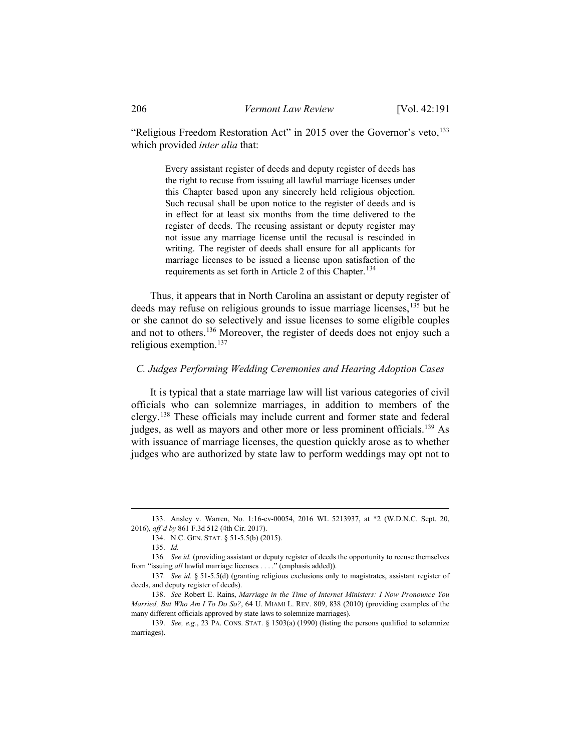"Religious Freedom Restoration Act" in 2015 over the Governor's veto,<sup>[133](#page-15-0)</sup> which provided *inter alia* that:

> Every assistant register of deeds and deputy register of deeds has the right to recuse from issuing all lawful marriage licenses under this Chapter based upon any sincerely held religious objection. Such recusal shall be upon notice to the register of deeds and is in effect for at least six months from the time delivered to the register of deeds. The recusing assistant or deputy register may not issue any marriage license until the recusal is rescinded in writing. The register of deeds shall ensure for all applicants for marriage licenses to be issued a license upon satisfaction of the requirements as set forth in Article 2 of this Chapter.<sup>[134](#page-15-1)</sup>

Thus, it appears that in North Carolina an assistant or deputy register of deeds may refuse on religious grounds to issue marriage licenses, [135](#page-15-2) but he or she cannot do so selectively and issue licenses to some eligible couples and not to others. [136](#page-15-3) Moreover, the register of deeds does not enjoy such a religious exemption.[137](#page-15-4)

## *C. Judges Performing Wedding Ceremonies and Hearing Adoption Cases*

It is typical that a state marriage law will list various categories of civil officials who can solemnize marriages, in addition to members of the clergy.[138](#page-15-5) These officials may include current and former state and federal judges, as well as mayors and other more or less prominent officials.<sup>[139](#page-15-6)</sup> As with issuance of marriage licenses, the question quickly arose as to whether judges who are authorized by state law to perform weddings may opt not to

<span id="page-15-1"></span><span id="page-15-0"></span> <sup>133.</sup> Ansley v. Warren, No. 1:16-cv-00054, 2016 WL 5213937, at \*2 (W.D.N.C. Sept. 20, 2016), *aff'd by* 861 F.3d 512 (4th Cir. 2017).

<sup>134.</sup> N.C. GEN. STAT. § 51-5.5(b) (2015).

<sup>135.</sup> *Id.*

<span id="page-15-3"></span><span id="page-15-2"></span><sup>136</sup>*. See id.* (providing assistant or deputy register of deeds the opportunity to recuse themselves from "issuing *all* lawful marriage licenses . . . ." (emphasis added)).

<span id="page-15-4"></span><sup>137</sup>*. See id.* § 51-5.5(d) (granting religious exclusions only to magistrates, assistant register of deeds, and deputy register of deeds).

<span id="page-15-5"></span><sup>138.</sup> *See* Robert E. Rains, *Marriage in the Time of Internet Ministers: I Now Pronounce You Married, But Who Am I To Do So?*, 64 U. MIAMI L. REV. 809, 838 (2010) (providing examples of the many different officials approved by state laws to solemnize marriages).

<span id="page-15-6"></span><sup>139.</sup> *See, e.g.*, 23 PA. CONS. STAT. § 1503(a) (1990) (listing the persons qualified to solemnize marriages).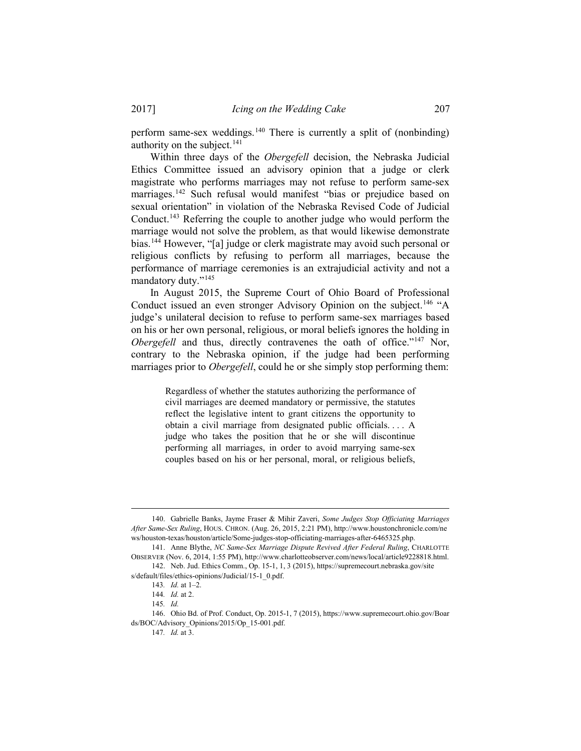perform same-sex weddings.<sup>[140](#page-16-0)</sup> There is currently a split of (nonbinding) authority on the subject. $141$ 

Within three days of the *Obergefell* decision, the Nebraska Judicial Ethics Committee issued an advisory opinion that a judge or clerk magistrate who performs marriages may not refuse to perform same-sex marriages.<sup>[142](#page-16-2)</sup> Such refusal would manifest "bias or prejudice based on sexual orientation" in violation of the Nebraska Revised Code of Judicial Conduct.[143](#page-16-3) Referring the couple to another judge who would perform the marriage would not solve the problem, as that would likewise demonstrate bias.[144](#page-16-4) However, "[a] judge or clerk magistrate may avoid such personal or religious conflicts by refusing to perform all marriages, because the performance of marriage ceremonies is an extrajudicial activity and not a mandatory duty."[145](#page-16-5)

In August 2015, the Supreme Court of Ohio Board of Professional Conduct issued an even stronger Advisory Opinion on the subject.<sup>[146](#page-16-6)</sup> "A judge's unilateral decision to refuse to perform same-sex marriages based on his or her own personal, religious, or moral beliefs ignores the holding in *Obergefell* and thus, directly contravenes the oath of office."<sup>[147](#page-16-7)</sup> Nor, contrary to the Nebraska opinion, if the judge had been performing marriages prior to *Obergefell*, could he or she simply stop performing them:

> Regardless of whether the statutes authorizing the performance of civil marriages are deemed mandatory or permissive, the statutes reflect the legislative intent to grant citizens the opportunity to obtain a civil marriage from designated public officials. . . . A judge who takes the position that he or she will discontinue performing all marriages, in order to avoid marrying same-sex couples based on his or her personal, moral, or religious beliefs,

<span id="page-16-0"></span> <sup>140.</sup> Gabrielle Banks, Jayme Fraser & Mihir Zaveri, *Some Judges Stop Officiating Marriages After Same-Sex Ruling*, HOUS. CHRON. (Aug. 26, 2015, 2:21 PM), http://www.houstonchronicle.com/ne ws/houston-texas/houston/article/Some-judges-stop-officiating-marriages-after-6465325.php.

<span id="page-16-1"></span><sup>141.</sup> Anne Blythe, *NC Same-Sex Marriage Dispute Revived After Federal Ruling*, CHARLOTTE OBSERVER (Nov. 6, 2014, 1:55 PM), http://www.charlotteobserver.com/news/local/article9228818.html. 142. Neb. Jud. Ethics Comm., Op. 15-1, 1, 3 (2015), https://supremecourt.nebraska.gov/site

<span id="page-16-4"></span><span id="page-16-3"></span><span id="page-16-2"></span>s/default/files/ethics-opinions/Judicial/15-1\_0.pdf.

<sup>143</sup>*. Id.* at 1–2.

<sup>144</sup>*. Id.* at 2.

<sup>145</sup>*. Id.*

<span id="page-16-7"></span><span id="page-16-6"></span><span id="page-16-5"></span><sup>146.</sup> Ohio Bd. of Prof. Conduct, Op. 2015-1, 7 (2015), https://www.supremecourt.ohio.gov/Boar ds/BOC/Advisory\_Opinions/2015/Op\_15-001.pdf.

<sup>147</sup>*. Id.* at 3.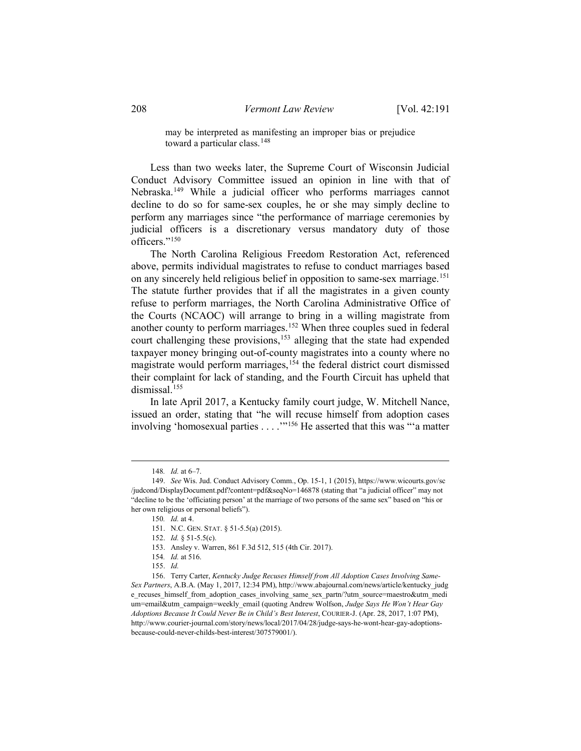may be interpreted as manifesting an improper bias or prejudice toward a particular class.<sup>[148](#page-17-0)</sup>

Less than two weeks later, the Supreme Court of Wisconsin Judicial Conduct Advisory Committee issued an opinion in line with that of Nebraska.[149](#page-17-1) While a judicial officer who performs marriages cannot decline to do so for same-sex couples, he or she may simply decline to perform any marriages since "the performance of marriage ceremonies by judicial officers is a discretionary versus mandatory duty of those officers."[150](#page-17-2)

The North Carolina Religious Freedom Restoration Act, referenced above, permits individual magistrates to refuse to conduct marriages based on any sincerely held religious belief in opposition to same-sex marriage. [151](#page-17-3) The statute further provides that if all the magistrates in a given county refuse to perform marriages, the North Carolina Administrative Office of the Courts (NCAOC) will arrange to bring in a willing magistrate from another county to perform marriages.[152](#page-17-4) When three couples sued in federal court challenging these provisions, [153](#page-17-5) alleging that the state had expended taxpayer money bringing out-of-county magistrates into a county where no magistrate would perform marriages, [154](#page-17-6) the federal district court dismissed their complaint for lack of standing, and the Fourth Circuit has upheld that dismissal. [155](#page-17-7)

In late April 2017, a Kentucky family court judge, W. Mitchell Nance, issued an order, stating that "he will recuse himself from adoption cases involving 'homosexual parties . . . .'"[156](#page-17-8) He asserted that this was "'a matter

 <sup>148</sup>*. Id.* at 6–7.

<span id="page-17-3"></span><span id="page-17-2"></span><span id="page-17-1"></span><span id="page-17-0"></span><sup>149.</sup> *See* Wis. Jud. Conduct Advisory Comm., Op. 15-1, 1 (2015), https://www.wicourts.gov/sc /judcond/DisplayDocument.pdf?content=pdf&seqNo=146878 (stating that "a judicial officer" may not "decline to be the 'officiating person' at the marriage of two persons of the same sex" based on "his or her own religious or personal beliefs").

<sup>150</sup>*. Id.* at 4.

<sup>151.</sup> N.C. GEN. STAT. § 51-5.5(a) (2015).

<sup>152.</sup> *Id.* § 51-5.5(c).

<sup>153.</sup> Ansley v. Warren, 861 F.3d 512, 515 (4th Cir. 2017).

<sup>154</sup>*. Id.* at 516.

<sup>155.</sup> *Id.*

<span id="page-17-8"></span><span id="page-17-7"></span><span id="page-17-6"></span><span id="page-17-5"></span><span id="page-17-4"></span><sup>156.</sup> Terry Carter, *Kentucky Judge Recuses Himself from All Adoption Cases Involving Same-Sex Partners*, A.B.A. (May 1, 2017, 12:34 PM), http://www.abajournal.com/news/article/kentucky\_judg e\_recuses\_himself\_from\_adoption\_cases\_involving\_same\_sex\_partn/?utm\_source=maestro&utm\_medi um=email&utm\_campaign=weekly\_email (quoting Andrew Wolfson, *Judge Says He Won't Hear Gay Adoptions Because It Could Never Be in Child's Best Interest*, COURIER-J. (Apr. 28, 2017, 1:07 PM), http://www.courier-journal.com/story/news/local/2017/04/28/judge-says-he-wont-hear-gay-adoptionsbecause-could-never-childs-best-interest/307579001/).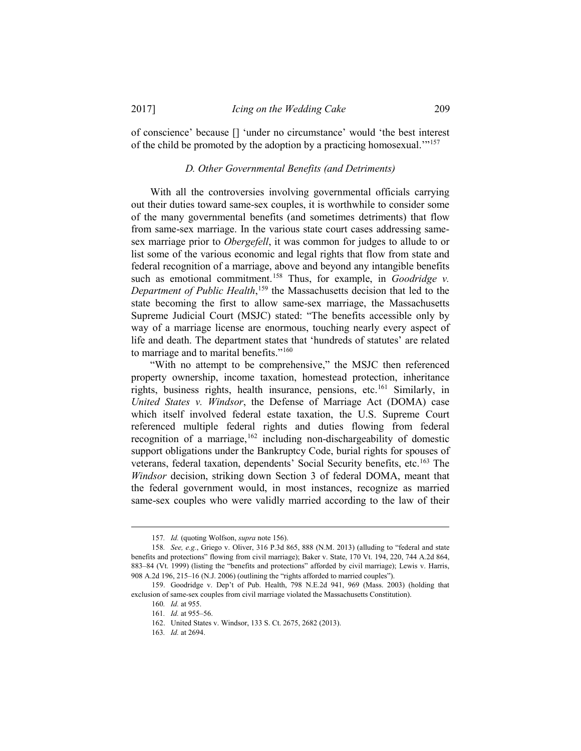of conscience' because [] 'under no circumstance' would 'the best interest of the child be promoted by the adoption by a practicing homosexual.'"[157](#page-18-0)

### *D. Other Governmental Benefits (and Detriments)*

With all the controversies involving governmental officials carrying out their duties toward same-sex couples, it is worthwhile to consider some of the many governmental benefits (and sometimes detriments) that flow from same-sex marriage. In the various state court cases addressing samesex marriage prior to *Obergefell*, it was common for judges to allude to or list some of the various economic and legal rights that flow from state and federal recognition of a marriage, above and beyond any intangible benefits such as emotional commitment. [158](#page-18-1) Thus, for example, in *Goodridge v. Department of Public Health*, [159](#page-18-2) the Massachusetts decision that led to the state becoming the first to allow same-sex marriage, the Massachusetts Supreme Judicial Court (MSJC) stated: "The benefits accessible only by way of a marriage license are enormous, touching nearly every aspect of life and death. The department states that 'hundreds of statutes' are related to marriage and to marital benefits."[160](#page-18-3)

"With no attempt to be comprehensive," the MSJC then referenced property ownership, income taxation, homestead protection, inheritance rights, business rights, health insurance, pensions, etc.<sup>[161](#page-18-4)</sup> Similarly, in *United States v. Windsor*, the Defense of Marriage Act (DOMA) case which itself involved federal estate taxation, the U.S. Supreme Court referenced multiple federal rights and duties flowing from federal recognition of a marriage, <sup>[162](#page-18-5)</sup> including non-dischargeability of domestic support obligations under the Bankruptcy Code, burial rights for spouses of veterans, federal taxation, dependents' Social Security benefits, etc.<sup>[163](#page-18-6)</sup> The *Windsor* decision, striking down Section 3 of federal DOMA, meant that the federal government would, in most instances, recognize as married same-sex couples who were validly married according to the law of their

 <sup>157</sup>*. Id.* (quoting Wolfson, *supra* note 156).

<span id="page-18-1"></span><span id="page-18-0"></span><sup>158</sup>*. See, e.g.*, Griego v. Oliver, 316 P.3d 865, 888 (N.M. 2013) (alluding to "federal and state benefits and protections" flowing from civil marriage); Baker v. State, 170 Vt. 194, 220, 744 A.2d 864, 883–84 (Vt. 1999) (listing the "benefits and protections" afforded by civil marriage); Lewis v. Harris, 908 A.2d 196, 215–16 (N.J. 2006) (outlining the "rights afforded to married couples").

<span id="page-18-6"></span><span id="page-18-5"></span><span id="page-18-4"></span><span id="page-18-3"></span><span id="page-18-2"></span><sup>159.</sup> Goodridge v. Dep't of Pub. Health, 798 N.E.2d 941, 969 (Mass. 2003) (holding that exclusion of same-sex couples from civil marriage violated the Massachusetts Constitution).

<sup>160</sup>*. Id.* at 955. 161*. Id.* at 955–56.

<sup>162.</sup> United States v. Windsor, 133 S. Ct. 2675, 2682 (2013).

<sup>163</sup>*. Id.* at 2694.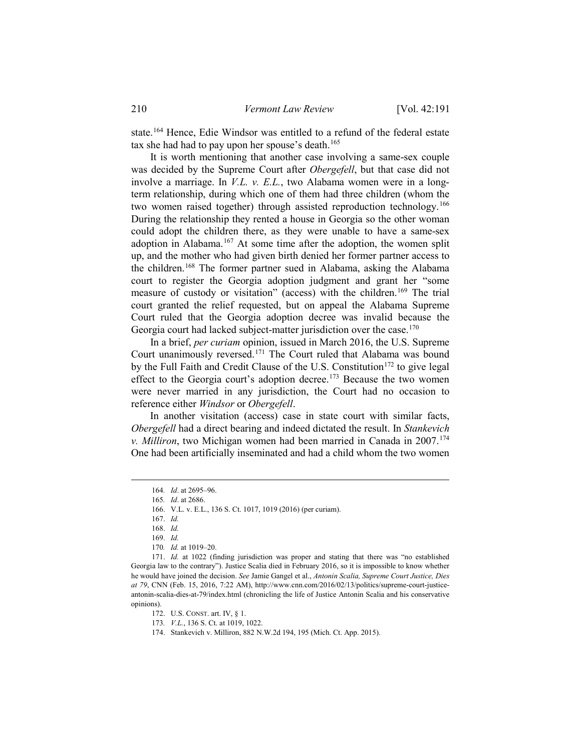state. [164](#page-19-0) Hence, Edie Windsor was entitled to a refund of the federal estate tax she had had to pay upon her spouse's death.<sup>[165](#page-19-1)</sup>

It is worth mentioning that another case involving a same-sex couple was decided by the Supreme Court after *Obergefell*, but that case did not involve a marriage. In *V.L. v. E.L.*, two Alabama women were in a longterm relationship, during which one of them had three children (whom the two women raised together) through assisted reproduction technology.<sup>[166](#page-19-2)</sup> During the relationship they rented a house in Georgia so the other woman could adopt the children there, as they were unable to have a same-sex adoption in Alabama.<sup>[167](#page-19-3)</sup> At some time after the adoption, the women split up, and the mother who had given birth denied her former partner access to the children.[168](#page-19-4) The former partner sued in Alabama, asking the Alabama court to register the Georgia adoption judgment and grant her "some measure of custody or visitation" (access) with the children.[169](#page-19-5) The trial court granted the relief requested, but on appeal the Alabama Supreme Court ruled that the Georgia adoption decree was invalid because the Georgia court had lacked subject-matter jurisdiction over the case.<sup>[170](#page-19-6)</sup>

In a brief, *per curiam* opinion, issued in March 2016, the U.S. Supreme Court unanimously reversed.[171](#page-19-7) The Court ruled that Alabama was bound by the Full Faith and Credit Clause of the U.S. Constitution<sup>[172](#page-19-8)</sup> to give legal effect to the Georgia court's adoption decree.<sup>[173](#page-19-9)</sup> Because the two women were never married in any jurisdiction, the Court had no occasion to reference either *Windsor* or *Obergefell*.

In another visitation (access) case in state court with similar facts, *Obergefell* had a direct bearing and indeed dictated the result. In *Stankevich v. Milliron*, two Michigan women had been married in Canada in 2007.[174](#page-19-10) One had been artificially inseminated and had a child whom the two women

 <sup>164</sup>*. Id*. at 2695–96.

<sup>165</sup>*. Id*. at 2686.

<sup>166.</sup> V.L. v. E.L., 136 S. Ct. 1017, 1019 (2016) (per curiam).

<sup>167.</sup> *Id.*

<sup>168.</sup> *Id.*

<sup>169.</sup> *Id.*

<sup>170</sup>*. Id.* at 1019–20.

<span id="page-19-10"></span><span id="page-19-9"></span><span id="page-19-8"></span><span id="page-19-7"></span><span id="page-19-6"></span><span id="page-19-5"></span><span id="page-19-4"></span><span id="page-19-3"></span><span id="page-19-2"></span><span id="page-19-1"></span><span id="page-19-0"></span><sup>171.</sup> *Id.* at 1022 (finding jurisdiction was proper and stating that there was "no established Georgia law to the contrary"). Justice Scalia died in February 2016, so it is impossible to know whether he would have joined the decision. *See* Jamie Gangel et al., *Antonin Scalia, Supreme Court Justice, Dies at 79*, CNN (Feb. 15, 2016, 7:22 AM), http://www.cnn.com/2016/02/13/politics/supreme-court-justiceantonin-scalia-dies-at-79/index.html (chronicling the life of Justice Antonin Scalia and his conservative opinions).

<sup>172.</sup> U.S. CONST. art. IV, § 1.

<sup>173</sup>*. V.L.*, 136 S. Ct. at 1019, 1022.

<sup>174.</sup> Stankevich v. Milliron, 882 N.W.2d 194, 195 (Mich. Ct. App. 2015).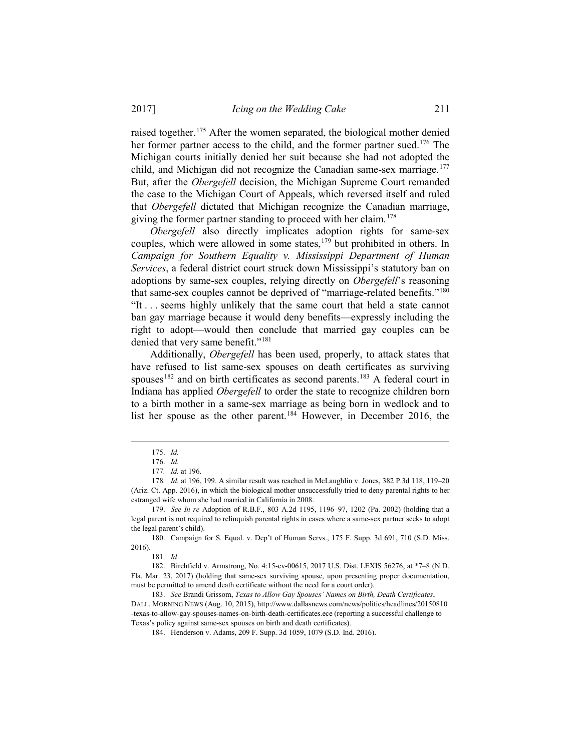raised together.[175](#page-20-0) After the women separated, the biological mother denied her former partner access to the child, and the former partner sued.<sup>176</sup> The Michigan courts initially denied her suit because she had not adopted the child, and Michigan did not recognize the Canadian same-sex marriage.<sup>[177](#page-20-2)</sup> But, after the *Obergefell* decision, the Michigan Supreme Court remanded the case to the Michigan Court of Appeals, which reversed itself and ruled that *Obergefell* dictated that Michigan recognize the Canadian marriage, giving the former partner standing to proceed with her claim.<sup>[178](#page-20-3)</sup>

*Obergefell* also directly implicates adoption rights for same-sex couples, which were allowed in some states,<sup>[179](#page-20-4)</sup> but prohibited in others. In *Campaign for Southern Equality v. Mississippi Department of Human Services*, a federal district court struck down Mississippi's statutory ban on adoptions by same-sex couples, relying directly on *Obergefell*'s reasoning that same-sex couples cannot be deprived of "marriage-related benefits."<sup>[180](#page-20-5)</sup> "It . . . seems highly unlikely that the same court that held a state cannot ban gay marriage because it would deny benefits—expressly including the right to adopt—would then conclude that married gay couples can be denied that very same benefit."<sup>[181](#page-20-6)</sup>

Additionally, *Obergefell* has been used, properly, to attack states that have refused to list same-sex spouses on death certificates as surviving spouses<sup>[182](#page-20-7)</sup> and on birth certificates as second parents.<sup>[183](#page-20-8)</sup> A federal court in Indiana has applied *Obergefell* to order the state to recognize children born to a birth mother in a same-sex marriage as being born in wedlock and to list her spouse as the other parent.<sup>[184](#page-20-9)</sup> However, in December 2016, the

 <sup>175.</sup> *Id.* 

<sup>176.</sup> *Id.*

<sup>177</sup>*. Id.* at 196.

<span id="page-20-3"></span><span id="page-20-2"></span><span id="page-20-1"></span><span id="page-20-0"></span><sup>178</sup>*. Id.* at 196, 199. A similar result was reached in McLaughlin v. Jones, 382 P.3d 118, 119–20 (Ariz. Ct. App. 2016), in which the biological mother unsuccessfully tried to deny parental rights to her estranged wife whom she had married in California in 2008.

<span id="page-20-4"></span><sup>179.</sup> *See In re* Adoption of R.B.F., 803 A.2d 1195, 1196–97, 1202 (Pa. 2002) (holding that a legal parent is not required to relinquish parental rights in cases where a same-sex partner seeks to adopt the legal parent's child).

<span id="page-20-5"></span><sup>180.</sup> Campaign for S. Equal. v. Dep't of Human Servs., 175 F. Supp. 3d 691, 710 (S.D. Miss. 2016).

<sup>181</sup>*. Id*.

<span id="page-20-7"></span><span id="page-20-6"></span><sup>182.</sup> Birchfield v. Armstrong, No. 4:15-cv-00615, 2017 U.S. Dist. LEXIS 56276, at \*7–8 (N.D. Fla. Mar. 23, 2017) (holding that same-sex surviving spouse, upon presenting proper documentation, must be permitted to amend death certificate without the need for a court order).

<span id="page-20-9"></span><span id="page-20-8"></span><sup>183.</sup> *See* Brandi Grissom, *Texas to Allow Gay Spouses' Names on Birth, Death Certificates*, DALL. MORNING NEWS (Aug. 10, 2015), http://www.dallasnews.com/news/politics/headlines/20150810 -texas-to-allow-gay-spouses-names-on-birth-death-certificates.ece (reporting a successful challenge to Texas's policy against same-sex spouses on birth and death certificates).

<sup>184.</sup> Henderson v. Adams, 209 F. Supp. 3d 1059, 1079 (S.D. Ind. 2016).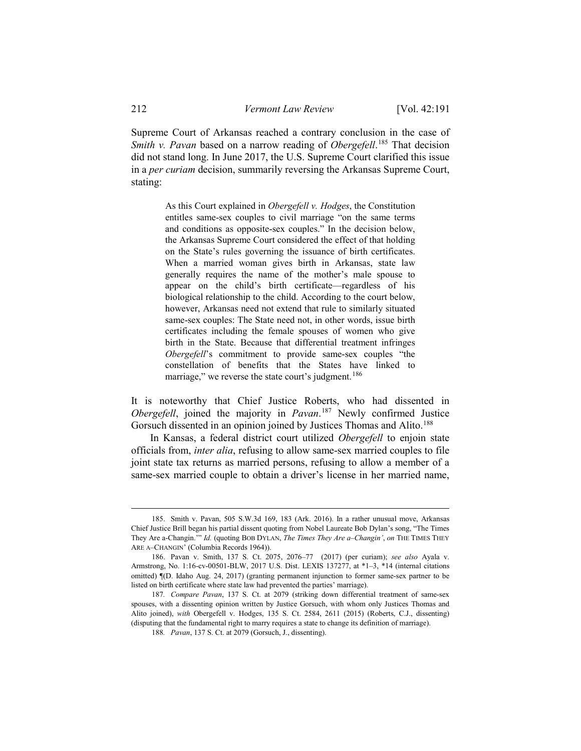Supreme Court of Arkansas reached a contrary conclusion in the case of *Smith v. Pavan* based on a narrow reading of *Obergefell*. [185](#page-21-0) That decision did not stand long. In June 2017, the U.S. Supreme Court clarified this issue in a *per curiam* decision, summarily reversing the Arkansas Supreme Court, stating:

> As this Court explained in *Obergefell v. Hodges*, the Constitution entitles same-sex couples to civil marriage "on the same terms and conditions as opposite-sex couples." In the decision below, the Arkansas Supreme Court considered the effect of that holding on the State's rules governing the issuance of birth certificates. When a married woman gives birth in Arkansas, state law generally requires the name of the mother's male spouse to appear on the child's birth certificate—regardless of his biological relationship to the child. According to the court below, however, Arkansas need not extend that rule to similarly situated same-sex couples: The State need not, in other words, issue birth certificates including the female spouses of women who give birth in the State. Because that differential treatment infringes *Obergefell*'s commitment to provide same-sex couples "the constellation of benefits that the States have linked to marriage," we reverse the state court's judgment.<sup>[186](#page-21-1)</sup>

It is noteworthy that Chief Justice Roberts, who had dissented in *Obergefell*, joined the majority in *Pavan*. [187](#page-21-2) Newly confirmed Justice Gorsuch dissented in an opinion joined by Justices Thomas and Alito.<sup>[188](#page-21-3)</sup>

In Kansas, a federal district court utilized *Obergefell* to enjoin state officials from, *inter alia*, refusing to allow same-sex married couples to file joint state tax returns as married persons, refusing to allow a member of a same-sex married couple to obtain a driver's license in her married name,

<span id="page-21-0"></span> <sup>185.</sup> Smith v. Pavan, 505 S.W.3d 169, 183 (Ark. 2016). In a rather unusual move, Arkansas Chief Justice Brill began his partial dissent quoting from Nobel Laureate Bob Dylan's song, "The Times They Are a-Changin.'" *Id.* (quoting BOB DYLAN, *The Times They Are a–Changin'*, *on* THE TIMES THEY ARE A–CHANGIN' (Columbia Records 1964)).

<span id="page-21-1"></span><sup>186.</sup> Pavan v. Smith, 137 S. Ct. 2075, 2076–77 (2017) (per curiam); *see also* Ayala v. Armstrong, No. 1:16-cv-00501-BLW, 2017 U.S. Dist. LEXIS 137277, at \*1–3, \*14 (internal citations omitted) ¶(D. Idaho Aug. 24, 2017) (granting permanent injunction to former same-sex partner to be listed on birth certificate where state law had prevented the parties' marriage).

<span id="page-21-3"></span><span id="page-21-2"></span><sup>187</sup>*. Compare Pavan*, 137 S. Ct. at 2079 (striking down differential treatment of same-sex spouses, with a dissenting opinion written by Justice Gorsuch, with whom only Justices Thomas and Alito joined), *with* Obergefell v. Hodges, 135 S. Ct. 2584, 2611 (2015) (Roberts, C.J., dissenting) (disputing that the fundamental right to marry requires a state to change its definition of marriage).

<sup>188</sup>*. Pavan*, 137 S. Ct. at 2079 (Gorsuch, J., dissenting).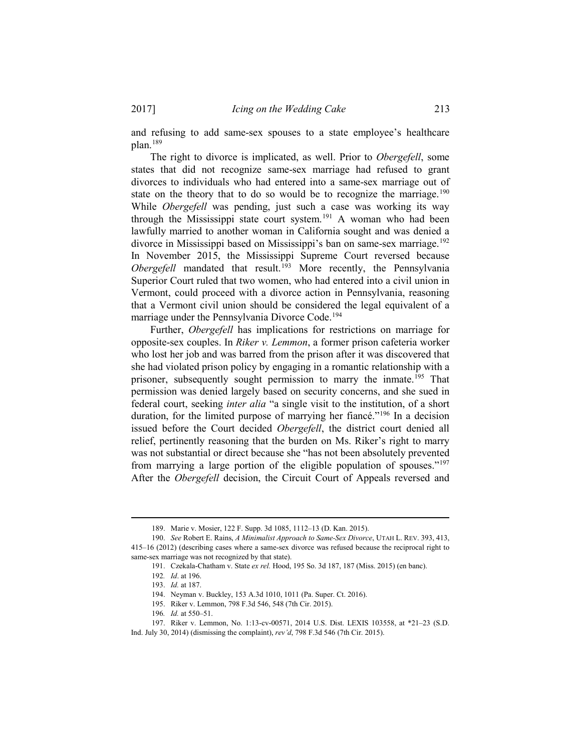and refusing to add same-sex spouses to a state employee's healthcare plan[.189](#page-22-0)

The right to divorce is implicated, as well. Prior to *Obergefell*, some states that did not recognize same-sex marriage had refused to grant divorces to individuals who had entered into a same-sex marriage out of state on the theory that to do so would be to recognize the marriage.<sup>[190](#page-22-1)</sup> While *Obergefell* was pending, just such a case was working its way through the Mississippi state court system.<sup>[191](#page-22-2)</sup> A woman who had been lawfully married to another woman in California sought and was denied a divorce in Mississippi based on Mississippi's ban on same-sex marriage.<sup>[192](#page-22-3)</sup> In November 2015, the Mississippi Supreme Court reversed because *Obergefell* mandated that result.<sup>[193](#page-22-4)</sup> More recently, the Pennsylvania Superior Court ruled that two women, who had entered into a civil union in Vermont, could proceed with a divorce action in Pennsylvania, reasoning that a Vermont civil union should be considered the legal equivalent of a marriage under the Pennsylvania Divorce Code.[194](#page-22-5)

Further, *Obergefell* has implications for restrictions on marriage for opposite-sex couples. In *Riker v. Lemmon*, a former prison cafeteria worker who lost her job and was barred from the prison after it was discovered that she had violated prison policy by engaging in a romantic relationship with a prisoner, subsequently sought permission to marry the inmate.<sup>[195](#page-22-6)</sup> That permission was denied largely based on security concerns, and she sued in federal court, seeking *inter alia* "a single visit to the institution, of a short duration, for the limited purpose of marrying her fiancé."<sup>196</sup> In a decision issued before the Court decided *Obergefell*, the district court denied all relief, pertinently reasoning that the burden on Ms. Riker's right to marry was not substantial or direct because she "has not been absolutely prevented from marrying a large portion of the eligible population of spouses."[197](#page-22-8) After the *Obergefell* decision, the Circuit Court of Appeals reversed and

195. Riker v. Lemmon, 798 F.3d 546, 548 (7th Cir. 2015).

 <sup>189.</sup> Marie v. Mosier, 122 F. Supp. 3d 1085, 1112–13 (D. Kan. 2015).

<span id="page-22-3"></span><span id="page-22-2"></span><span id="page-22-1"></span><span id="page-22-0"></span><sup>190.</sup> *See* Robert E. Rains, *A Minimalist Approach to Same-Sex Divorce*, UTAH L. REV. 393, 413, 415–16 (2012) (describing cases where a same-sex divorce was refused because the reciprocal right to same-sex marriage was not recognized by that state).

<sup>191.</sup> Czekala-Chatham v. State *ex rel.* Hood, 195 So. 3d 187, 187 (Miss. 2015) (en banc).

<sup>192</sup>*. Id*. at 196.

<sup>193.</sup> *Id.* at 187.

<sup>194.</sup> Neyman v. Buckley, 153 A.3d 1010, 1011 (Pa. Super. Ct. 2016).

<sup>196</sup>*. Id.* at 550–51.

<span id="page-22-8"></span><span id="page-22-7"></span><span id="page-22-6"></span><span id="page-22-5"></span><span id="page-22-4"></span><sup>197.</sup> Riker v. Lemmon, No. 1:13-cv-00571, 2014 U.S. Dist. LEXIS 103558, at \*21–23 (S.D. Ind. July 30, 2014) (dismissing the complaint), *rev'd*, 798 F.3d 546 (7th Cir. 2015).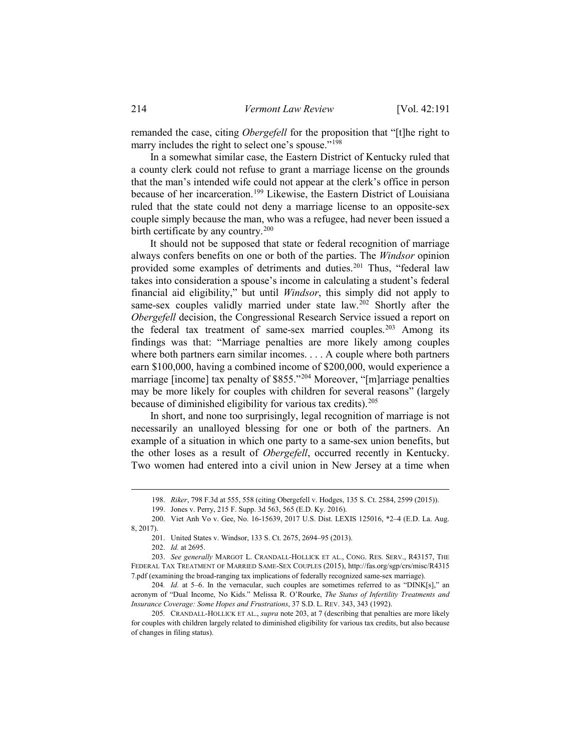remanded the case, citing *Obergefell* for the proposition that "[t]he right to marry includes the right to select one's spouse."<sup>198</sup>

In a somewhat similar case, the Eastern District of Kentucky ruled that a county clerk could not refuse to grant a marriage license on the grounds that the man's intended wife could not appear at the clerk's office in person because of her incarceration.<sup>[199](#page-23-1)</sup> Likewise, the Eastern District of Louisiana ruled that the state could not deny a marriage license to an opposite-sex couple simply because the man, who was a refugee, had never been issued a birth certificate by any country.<sup>[200](#page-23-2)</sup>

It should not be supposed that state or federal recognition of marriage always confers benefits on one or both of the parties. The *Windsor* opinion provided some examples of detriments and duties.<sup>201</sup> Thus, "federal law takes into consideration a spouse's income in calculating a student's federal financial aid eligibility," but until *Windsor*, this simply did not apply to same-sex couples validly married under state law.<sup>[202](#page-23-4)</sup> Shortly after the *Obergefell* decision, the Congressional Research Service issued a report on the federal tax treatment of same-sex married couples. [203](#page-23-5) Among its findings was that: "Marriage penalties are more likely among couples where both partners earn similar incomes. . . . A couple where both partners earn \$100,000, having a combined income of \$200,000, would experience a marriage [income] tax penalty of \$855."<sup>[204](#page-23-6)</sup> Moreover, "[m]arriage penalties may be more likely for couples with children for several reasons" (largely because of diminished eligibility for various tax credits).<sup>[205](#page-23-7)</sup>

In short, and none too surprisingly, legal recognition of marriage is not necessarily an unalloyed blessing for one or both of the partners. An example of a situation in which one party to a same-sex union benefits, but the other loses as a result of *Obergefell*, occurred recently in Kentucky. Two women had entered into a civil union in New Jersey at a time when

202. *Id.* at 2695.

 <sup>198.</sup> *Riker*, 798 F.3d at 555, 558 (citing Obergefell v. Hodges, 135 S. Ct. 2584, 2599 (2015)).

<sup>199.</sup> Jones v. Perry, 215 F. Supp. 3d 563, 565 (E.D. Ky. 2016).

<span id="page-23-2"></span><span id="page-23-1"></span><span id="page-23-0"></span><sup>200.</sup> Viet Anh Vo v. Gee, No. 16-15639, 2017 U.S. Dist. LEXIS 125016, \*2–4 (E.D. La. Aug. 8, 2017).

<sup>201.</sup> United States v. Windsor, 133 S. Ct. 2675, 2694–95 (2013).

<span id="page-23-5"></span><span id="page-23-4"></span><span id="page-23-3"></span><sup>203.</sup> *See generally* MARGOT L. CRANDALL-HOLLICK ET AL., CONG. RES. SERV., R43157, THE FEDERAL TAX TREATMENT OF MARRIED SAME-SEX COUPLES (2015), http://fas.org/sgp/crs/misc/R4315 7.pdf (examining the broad-ranging tax implications of federally recognized same-sex marriage).

<span id="page-23-6"></span><sup>204</sup>*. Id.* at 5–6. In the vernacular, such couples are sometimes referred to as "DINK[s]," an acronym of "Dual Income, No Kids." Melissa R. O'Rourke, *The Status of Infertility Treatments and Insurance Coverage: Some Hopes and Frustrations*, 37 S.D. L. REV. 343, 343 (1992).

<span id="page-23-7"></span><sup>205</sup>*.* CRANDALL-HOLLICK ET AL., *supra* note 203, at 7 (describing that penalties are more likely for couples with children largely related to diminished eligibility for various tax credits, but also because of changes in filing status).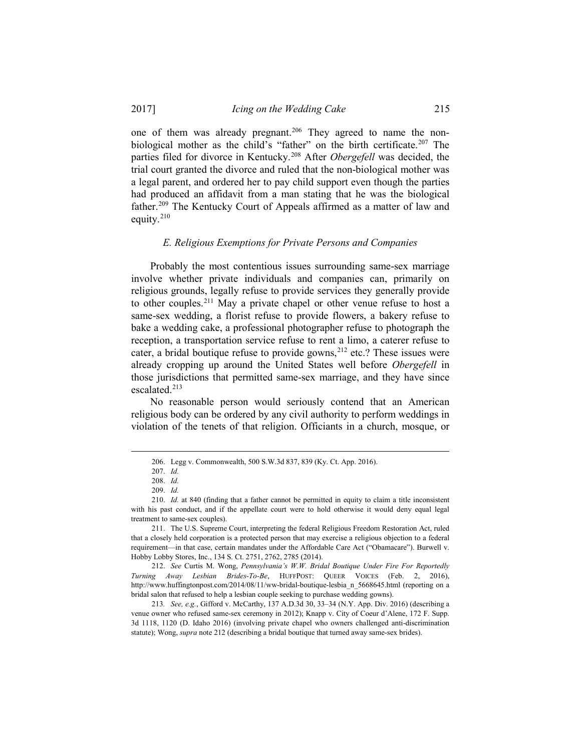one of them was already pregnant.<sup>[206](#page-24-0)</sup> They agreed to name the nonbiological mother as the child's "father" on the birth certificate. [207](#page-24-1) The parties filed for divorce in Kentucky. [208](#page-24-2) After *Obergefell* was decided, the trial court granted the divorce and ruled that the non-biological mother was a legal parent, and ordered her to pay child support even though the parties had produced an affidavit from a man stating that he was the biological father.[209](#page-24-3) The Kentucky Court of Appeals affirmed as a matter of law and equity.[210](#page-24-4)

#### *E. Religious Exemptions for Private Persons and Companies*

Probably the most contentious issues surrounding same-sex marriage involve whether private individuals and companies can, primarily on religious grounds, legally refuse to provide services they generally provide to other couples.[211](#page-24-5) May a private chapel or other venue refuse to host a same-sex wedding, a florist refuse to provide flowers, a bakery refuse to bake a wedding cake, a professional photographer refuse to photograph the reception, a transportation service refuse to rent a limo, a caterer refuse to cater, a bridal boutique refuse to provide gowns,<sup>[212](#page-24-6)</sup> etc.? These issues were already cropping up around the United States well before *Obergefell* in those jurisdictions that permitted same-sex marriage, and they have since escalated. [213](#page-24-7)

No reasonable person would seriously contend that an American religious body can be ordered by any civil authority to perform weddings in violation of the tenets of that religion. Officiants in a church, mosque, or

<span id="page-24-6"></span>212. *See* Curtis M. Wong, *Pennsylvania's W.W. Bridal Boutique Under Fire For Reportedly Turning Away Lesbian Brides-To-Be*, HUFFPOST: QUEER VOICES (Feb. 2, 2016), http://www.huffingtonpost.com/2014/08/11/ww-bridal-boutique-lesbia\_n\_5668645.html (reporting on a bridal salon that refused to help a lesbian couple seeking to purchase wedding gowns).

<span id="page-24-7"></span>213*. See, e.g.*, Gifford v. McCarthy, 137 A.D.3d 30, 33–34 (N.Y. App. Div. 2016) (describing a venue owner who refused same-sex ceremony in 2012); Knapp v. City of Coeur d'Alene, 172 F. Supp. 3d 1118, 1120 (D. Idaho 2016) (involving private chapel who owners challenged anti-discrimination statute); Wong, *supra* note 212 (describing a bridal boutique that turned away same-sex brides).

 <sup>206.</sup> Legg v. Commonwealth, 500 S.W.3d 837, 839 (Ky. Ct. App. 2016).

<sup>207.</sup> *Id.*

<sup>208.</sup> *Id.*

<sup>209.</sup> *Id.*

<span id="page-24-4"></span><span id="page-24-3"></span><span id="page-24-2"></span><span id="page-24-1"></span><span id="page-24-0"></span><sup>210.</sup> *Id.* at 840 (finding that a father cannot be permitted in equity to claim a title inconsistent with his past conduct, and if the appellate court were to hold otherwise it would deny equal legal treatment to same-sex couples).

<span id="page-24-5"></span><sup>211.</sup> The U.S. Supreme Court, interpreting the federal Religious Freedom Restoration Act, ruled that a closely held corporation is a protected person that may exercise a religious objection to a federal requirement—in that case, certain mandates under the Affordable Care Act ("Obamacare"). Burwell v. Hobby Lobby Stores, Inc., 134 S. Ct. 2751, 2762, 2785 (2014).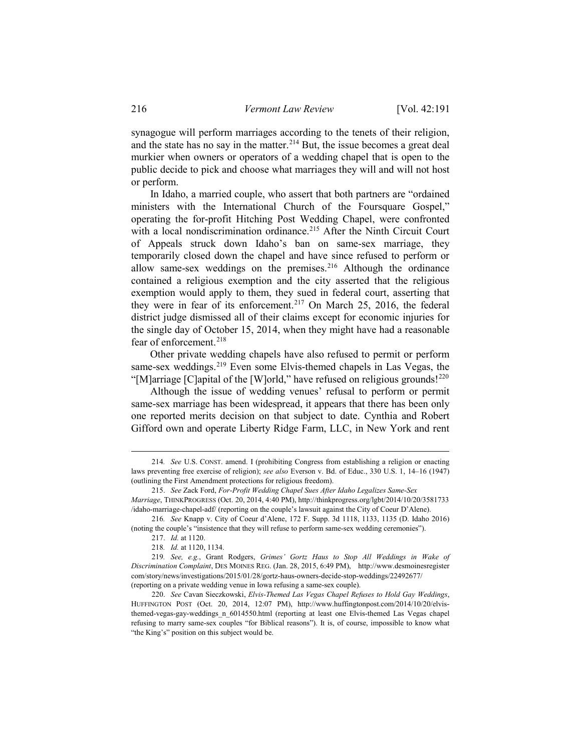synagogue will perform marriages according to the tenets of their religion, and the state has no say in the matter.<sup>[214](#page-25-0)</sup> But, the issue becomes a great deal murkier when owners or operators of a wedding chapel that is open to the public decide to pick and choose what marriages they will and will not host or perform.

In Idaho, a married couple, who assert that both partners are "ordained ministers with the International Church of the Foursquare Gospel," operating the for-profit Hitching Post Wedding Chapel, were confronted with a local nondiscrimination ordinance.<sup>215</sup> After the Ninth Circuit Court of Appeals struck down Idaho's ban on same-sex marriage, they temporarily closed down the chapel and have since refused to perform or allow same-sex weddings on the premises.<sup>[216](#page-25-2)</sup> Although the ordinance contained a religious exemption and the city asserted that the religious exemption would apply to them, they sued in federal court, asserting that they were in fear of its enforcement.<sup>[217](#page-25-3)</sup> On March 25, 2016, the federal district judge dismissed all of their claims except for economic injuries for the single day of October 15, 2014, when they might have had a reasonable fear of enforcement.<sup>[218](#page-25-4)</sup>

Other private wedding chapels have also refused to permit or perform same-sex weddings.<sup>[219](#page-25-5)</sup> Even some Elvis-themed chapels in Las Vegas, the "[M]arriage [C]apital of the [W]orld," have refused on religious grounds!<sup>[220](#page-25-6)</sup>

Although the issue of wedding venues' refusal to perform or permit same-sex marriage has been widespread, it appears that there has been only one reported merits decision on that subject to date. Cynthia and Robert Gifford own and operate Liberty Ridge Farm, LLC, in New York and rent

<span id="page-25-3"></span><span id="page-25-2"></span>216*. See* Knapp v. City of Coeur d'Alene, 172 F. Supp. 3d 1118, 1133, 1135 (D. Idaho 2016) (noting the couple's "insistence that they will refuse to perform same-sex wedding ceremonies").

<span id="page-25-6"></span>220. *See* Cavan Sieczkowski, *Elvis-Themed Las Vegas Chapel Refuses to Hold Gay Weddings*, HUFFINGTON POST (Oct. 20, 2014, 12:07 PM), http://www.huffingtonpost.com/2014/10/20/elvisthemed-vegas-gay-weddings\_n\_6014550.html (reporting at least one Elvis-themed Las Vegas chapel refusing to marry same-sex couples "for Biblical reasons"). It is, of course, impossible to know what "the King's" position on this subject would be.

<span id="page-25-0"></span> <sup>214</sup>*. See* U.S. CONST. amend. I (prohibiting Congress from establishing a religion or enacting laws preventing free exercise of religion); *see also* Everson v. Bd. of Educ., 330 U.S. 1, 14–16 (1947) (outlining the First Amendment protections for religious freedom).

<span id="page-25-1"></span><sup>215.</sup> *See* Zack Ford, *For-Profit Wedding Chapel Sues After Idaho Legalizes Same-Sex Marriage*, THINKPROGRESS (Oct. 20, 2014, 4:40 PM), http://thinkprogress.org/lgbt/2014/10/20/3581733 /idaho-marriage-chapel-adf/ (reporting on the couple's lawsuit against the City of Coeur D'Alene).

<sup>217.</sup> *Id.* at 1120.

<sup>218</sup>*. Id.* at 1120, 1134.

<span id="page-25-5"></span><span id="page-25-4"></span><sup>219</sup>*. See, e.g.*, Grant Rodgers, *Grimes' Gortz Haus to Stop All Weddings in Wake of Discrimination Complaint*, DES MOINES REG. (Jan. 28, 2015, 6:49 PM), http://www.desmoinesregister com/story/news/investigations/2015/01/28/gortz-haus-owners-decide-stop-weddings/22492677/ (reporting on a private wedding venue in Iowa refusing a same-sex couple).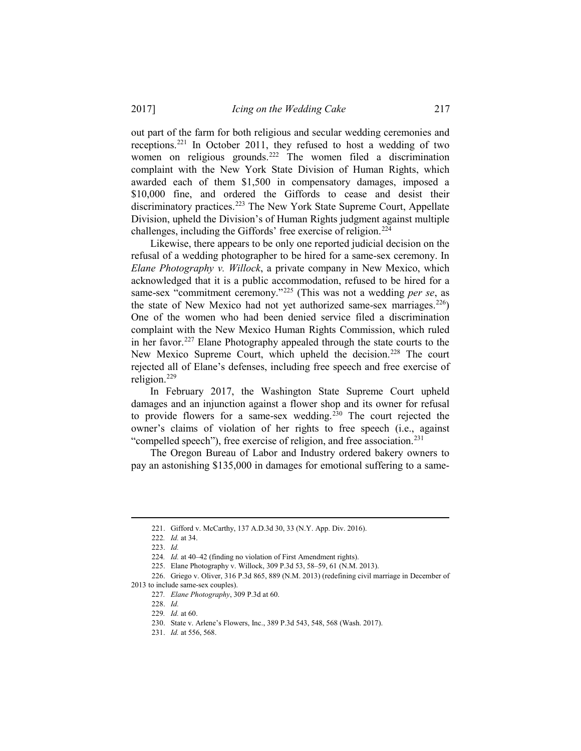out part of the farm for both religious and secular wedding ceremonies and receptions.[221](#page-26-0) In October 2011, they refused to host a wedding of two women on religious grounds. [222](#page-26-1) The women filed a discrimination complaint with the New York State Division of Human Rights, which awarded each of them \$1,500 in compensatory damages, imposed a \$10,000 fine, and ordered the Giffords to cease and desist their discriminatory practices.<sup>[223](#page-26-2)</sup> The New York State Supreme Court, Appellate Division, upheld the Division's of Human Rights judgment against multiple challenges, including the Giffords' free exercise of religion.<sup>[224](#page-26-3)</sup>

Likewise, there appears to be only one reported judicial decision on the refusal of a wedding photographer to be hired for a same-sex ceremony. In *Elane Photography v. Willock*, a private company in New Mexico, which acknowledged that it is a public accommodation, refused to be hired for a same-sex "commitment ceremony."[225](#page-26-4) (This was not a wedding *per se*, as the state of New Mexico had not yet authorized same-sex marriages.<sup>[226](#page-26-5)</sup>) One of the women who had been denied service filed a discrimination complaint with the New Mexico Human Rights Commission, which ruled in her favor.<sup>227</sup> Elane Photography appealed through the state courts to the New Mexico Supreme Court, which upheld the decision.<sup>[228](#page-26-7)</sup> The court rejected all of Elane's defenses, including free speech and free exercise of religion. $^{229}$  $^{229}$  $^{229}$ 

In February 2017, the Washington State Supreme Court upheld damages and an injunction against a flower shop and its owner for refusal to provide flowers for a same-sex wedding.<sup>[230](#page-26-9)</sup> The court rejected the owner's claims of violation of her rights to free speech (i.e., against "compelled speech"), free exercise of religion, and free association.<sup>231</sup>

The Oregon Bureau of Labor and Industry ordered bakery owners to pay an astonishing \$135,000 in damages for emotional suffering to a same-

 <sup>221.</sup> Gifford v. McCarthy, 137 A.D.3d 30, 33 (N.Y. App. Div. 2016).

<sup>222</sup>*. Id.* at 34.

<sup>223.</sup> *Id.*

<sup>224</sup>*. Id.* at 40–42 (finding no violation of First Amendment rights).

<sup>225.</sup> Elane Photography v. Willock, 309 P.3d 53, 58–59, 61 (N.M. 2013).

<span id="page-26-10"></span><span id="page-26-9"></span><span id="page-26-8"></span><span id="page-26-7"></span><span id="page-26-6"></span><span id="page-26-5"></span><span id="page-26-4"></span><span id="page-26-3"></span><span id="page-26-2"></span><span id="page-26-1"></span><span id="page-26-0"></span><sup>226.</sup> Griego v. Oliver, 316 P.3d 865, 889 (N.M. 2013) (redefining civil marriage in December of 2013 to include same-sex couples).

<sup>227</sup>*. Elane Photography*, 309 P.3d at 60.

<sup>228.</sup> *Id.*

<sup>229</sup>*. Id.* at 60.

<sup>230.</sup> State v. Arlene's Flowers, Inc., 389 P.3d 543, 548, 568 (Wash. 2017).

<sup>231.</sup> *Id.* at 556, 568.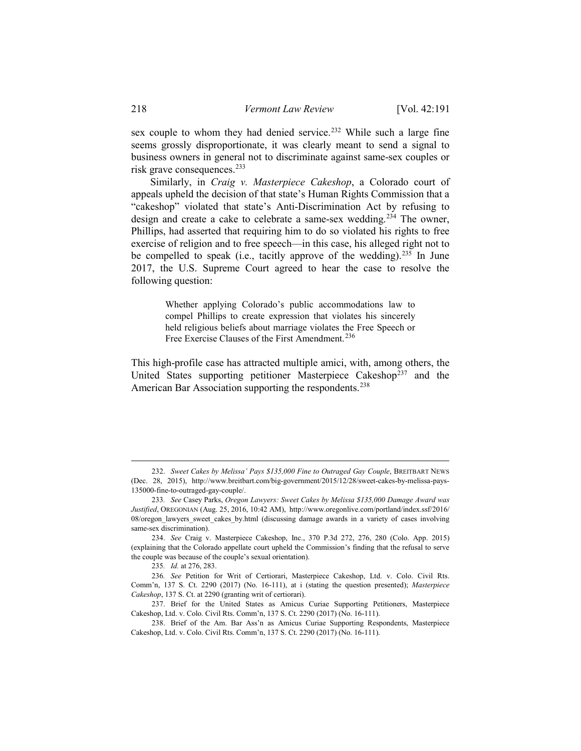sex couple to whom they had denied service.<sup>[232](#page-27-0)</sup> While such a large fine seems grossly disproportionate, it was clearly meant to send a signal to business owners in general not to discriminate against same-sex couples or risk grave consequences[.233](#page-27-1) 

Similarly, in *Craig v. Masterpiece Cakeshop*, a Colorado court of appeals upheld the decision of that state's Human Rights Commission that a "cakeshop" violated that state's Anti-Discrimination Act by refusing to design and create a cake to celebrate a same-sex wedding.<sup>[234](#page-27-2)</sup> The owner, Phillips, had asserted that requiring him to do so violated his rights to free exercise of religion and to free speech—in this case, his alleged right not to be compelled to speak (i.e., tacitly approve of the wedding).<sup>[235](#page-27-3)</sup> In June 2017, the U.S. Supreme Court agreed to hear the case to resolve the following question:

> Whether applying Colorado's public accommodations law to compel Phillips to create expression that violates his sincerely held religious beliefs about marriage violates the Free Speech or Free Exercise Clauses of the First Amendment.<sup>[236](#page-27-4)</sup>

This high-profile case has attracted multiple amici, with, among others, the United States supporting petitioner Masterpiece Cakeshop<sup>[237](#page-27-5)</sup> and the American Bar Association supporting the respondents.<sup>238</sup>

<span id="page-27-0"></span> <sup>232.</sup> *Sweet Cakes by Melissa' Pays \$135,000 Fine to Outraged Gay Couple*, BREITBART NEWS (Dec. 28, 2015), http://www.breitbart.com/big-government/2015/12/28/sweet-cakes-by-melissa-pays-135000-fine-to-outraged-gay-couple/.

<span id="page-27-1"></span><sup>233</sup>*. See* Casey Parks, *Oregon Lawyers: Sweet Cakes by Melissa \$135,000 Damage Award was Justified*, OREGONIAN (Aug. 25, 2016, 10:42 AM), http://www.oregonlive.com/portland/index.ssf/2016/ 08/oregon\_lawyers\_sweet\_cakes\_by.html (discussing damage awards in a variety of cases involving same-sex discrimination).

<span id="page-27-2"></span><sup>234.</sup> *See* Craig v. Masterpiece Cakeshop, Inc., 370 P.3d 272, 276, 280 (Colo. App. 2015) (explaining that the Colorado appellate court upheld the Commission's finding that the refusal to serve the couple was because of the couple's sexual orientation).

<sup>235</sup>*. Id.* at 276, 283.

<span id="page-27-4"></span><span id="page-27-3"></span><sup>236</sup>*. See* Petition for Writ of Certiorari, Masterpiece Cakeshop, Ltd. v. Colo. Civil Rts. Comm'n, 137 S. Ct. 2290 (2017) (No. 16-111), at i (stating the question presented); *Masterpiece Cakeshop*, 137 S. Ct. at 2290 (granting writ of certiorari).

<span id="page-27-5"></span><sup>237.</sup> Brief for the United States as Amicus Curiae Supporting Petitioners, Masterpiece Cakeshop, Ltd. v. Colo. Civil Rts. Comm'n, 137 S. Ct. 2290 (2017) (No. 16-111).

<span id="page-27-6"></span><sup>238.</sup> Brief of the Am. Bar Ass'n as Amicus Curiae Supporting Respondents, Masterpiece Cakeshop, Ltd. v. Colo. Civil Rts. Comm'n, 137 S. Ct. 2290 (2017) (No. 16-111).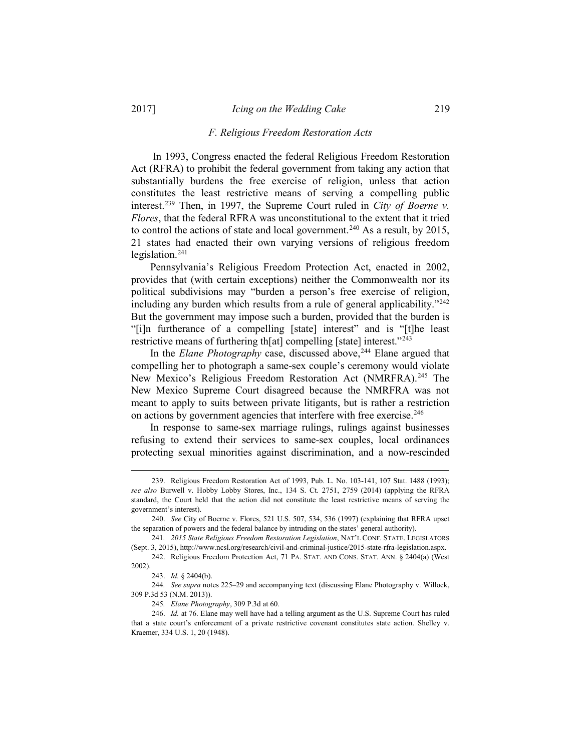#### *F. Religious Freedom Restoration Acts*

In 1993, Congress enacted the federal Religious Freedom Restoration Act (RFRA) to prohibit the federal government from taking any action that substantially burdens the free exercise of religion, unless that action constitutes the least restrictive means of serving a compelling public interest.[239](#page-28-0) Then, in 1997, the Supreme Court ruled in *City of Boerne v. Flores*, that the federal RFRA was unconstitutional to the extent that it tried to control the actions of state and local government.<sup>[240](#page-28-1)</sup> As a result, by 2015, 21 states had enacted their own varying versions of religious freedom legislation.[241](#page-28-2)

Pennsylvania's Religious Freedom Protection Act, enacted in 2002, provides that (with certain exceptions) neither the Commonwealth nor its political subdivisions may "burden a person's free exercise of religion, including any burden which results from a rule of general applicability."<sup>[242](#page-28-3)</sup> But the government may impose such a burden, provided that the burden is "[i]n furtherance of a compelling [state] interest" and is "[t]he least restrictive means of furthering th[at] compelling [state] interest."[243](#page-28-4)

In the *Elane Photography* case, discussed above, [244](#page-28-5) Elane argued that compelling her to photograph a same-sex couple's ceremony would violate New Mexico's Religious Freedom Restoration Act (NMRFRA).<sup>[245](#page-28-6)</sup> The New Mexico Supreme Court disagreed because the NMRFRA was not meant to apply to suits between private litigants, but is rather a restriction on actions by government agencies that interfere with free exercise. [246](#page-28-7)

In response to same-sex marriage rulings, rulings against businesses refusing to extend their services to same-sex couples, local ordinances protecting sexual minorities against discrimination, and a now-rescinded

<span id="page-28-0"></span> <sup>239.</sup> Religious Freedom Restoration Act of 1993, Pub. L. No. 103-141, 107 Stat. 1488 (1993); *see also* Burwell v. Hobby Lobby Stores, Inc., 134 S. Ct. 2751, 2759 (2014) (applying the RFRA standard, the Court held that the action did not constitute the least restrictive means of serving the government's interest).

<span id="page-28-1"></span><sup>240.</sup> *See* City of Boerne v. Flores, 521 U.S. 507, 534, 536 (1997) (explaining that RFRA upset the separation of powers and the federal balance by intruding on the states' general authority).

<span id="page-28-2"></span><sup>241</sup>*. 2015 State Religious Freedom Restoration Legislation*, NAT'L CONF. STATE. LEGISLATORS (Sept. 3, 2015), http://www.ncsl.org/research/civil-and-criminal-justice/2015-state-rfra-legislation.aspx.

<span id="page-28-3"></span><sup>242.</sup> Religious Freedom Protection Act, 71 PA. STAT. AND CONS. STAT. ANN. § 2404(a) (West 2002).

<sup>243.</sup> *Id.* § 2404(b).

<span id="page-28-5"></span><span id="page-28-4"></span><sup>244</sup>*. See supra* notes 225–29 and accompanying text (discussing Elane Photography v. Willock, 309 P.3d 53 (N.M. 2013)).

<sup>245</sup>*. Elane Photography*, 309 P.3d at 60.

<span id="page-28-7"></span><span id="page-28-6"></span><sup>246.</sup> *Id.* at 76. Elane may well have had a telling argument as the U.S. Supreme Court has ruled that a state court's enforcement of a private restrictive covenant constitutes state action. Shelley v. Kraemer, 334 U.S. 1, 20 (1948).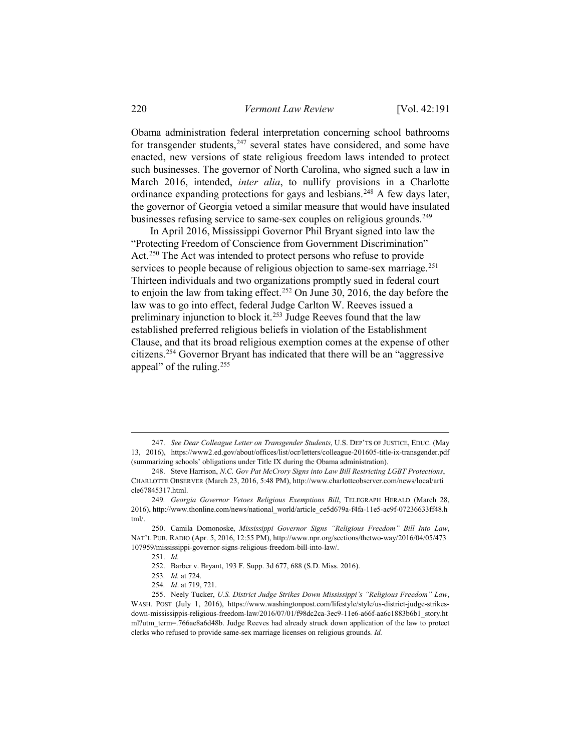Obama administration federal interpretation concerning school bathrooms for transgender students, $247$  several states have considered, and some have enacted, new versions of state religious freedom laws intended to protect such businesses. The governor of North Carolina, who signed such a law in March 2016, intended, *inter alia*, to nullify provisions in a Charlotte ordinance expanding protections for gays and lesbians.<sup>[248](#page-29-1)</sup> A few days later, the governor of Georgia vetoed a similar measure that would have insulated businesses refusing service to same-sex couples on religious grounds.<sup>[249](#page-29-2)</sup>

In April 2016, Mississippi Governor Phil Bryant signed into law the "Protecting Freedom of Conscience from Government Discrimination" Act.<sup>[250](#page-29-3)</sup> The Act was intended to protect persons who refuse to provide services to people because of religious objection to same-sex marriage.<sup>[251](#page-29-4)</sup> Thirteen individuals and two organizations promptly sued in federal court to enjoin the law from taking effect.[252](#page-29-5) On June 30, 2016, the day before the law was to go into effect, federal Judge Carlton W. Reeves issued a preliminary injunction to block it.[253](#page-29-6) Judge Reeves found that the law established preferred religious beliefs in violation of the Establishment Clause, and that its broad religious exemption comes at the expense of other citizens.[254](#page-29-7) Governor Bryant has indicated that there will be an "aggressive appeal" of the ruling.<sup>[255](#page-29-8)</sup>

251. *Id.*

<span id="page-29-0"></span> <sup>247.</sup> *See Dear Colleague Letter on Transgender Students*, U.S. DEP'TS OF JUSTICE, EDUC. (May 13, 2016), https://www2.ed.gov/about/offices/list/ocr/letters/colleague-201605-title-ix-transgender.pdf (summarizing schools' obligations under Title IX during the Obama administration).

<span id="page-29-1"></span><sup>248.</sup> Steve Harrison, *N.C. Gov Pat McCrory Signs into Law Bill Restricting LGBT Protections*, CHARLOTTE OBSERVER (March 23, 2016, 5:48 PM), http://www.charlotteobserver.com/news/local/arti cle67845317.html.

<span id="page-29-2"></span><sup>249</sup>*. Georgia Governor Vetoes Religious Exemptions Bill*, TELEGRAPH HERALD (March 28, 2016), http://www.thonline.com/news/national\_world/article\_ce5d679a-f4fa-11e5-ac9f-07236633ff48.h tml/.

<span id="page-29-4"></span><span id="page-29-3"></span><sup>250.</sup> Camila Domonoske, *Mississippi Governor Signs "Religious Freedom" Bill Into Law*, NAT'L PUB. RADIO (Apr. 5, 2016, 12:55 PM), http://www.npr.org/sections/thetwo-way/2016/04/05/473 107959/mississippi-governor-signs-religious-freedom-bill-into-law/.

<sup>252.</sup> Barber v. Bryant, 193 F. Supp. 3d 677, 688 (S.D. Miss. 2016).

<sup>253</sup>*. Id.* at 724.

<sup>254</sup>*. Id*. at 719, 721.

<span id="page-29-8"></span><span id="page-29-7"></span><span id="page-29-6"></span><span id="page-29-5"></span><sup>255.</sup> Neely Tucker, *U.S. District Judge Strikes Down Mississippi's "Religious Freedom" Law*, WASH. POST (July 1, 2016), https://www.washingtonpost.com/lifestyle/style/us-district-judge-strikesdown-mississippis-religious-freedom-law/2016/07/01/f98dc2ca-3ec9-11e6-a66f-aa6c1883b6b1\_story.ht ml?utm\_term=.766ae8a6d48b. Judge Reeves had already struck down application of the law to protect clerks who refused to provide same-sex marriage licenses on religious grounds*. Id.*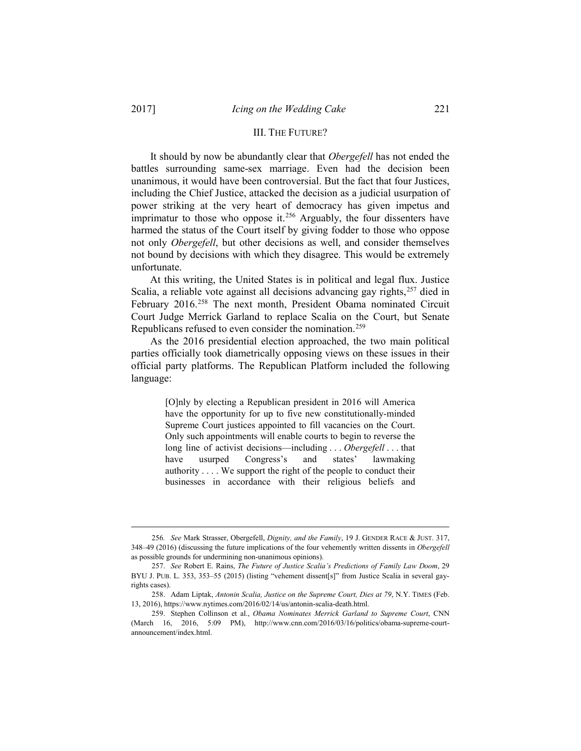#### III. THE FUTURE?

It should by now be abundantly clear that *Obergefell* has not ended the battles surrounding same-sex marriage. Even had the decision been unanimous, it would have been controversial. But the fact that four Justices, including the Chief Justice, attacked the decision as a judicial usurpation of power striking at the very heart of democracy has given impetus and imprimatur to those who oppose it.<sup>[256](#page-30-0)</sup> Arguably, the four dissenters have harmed the status of the Court itself by giving fodder to those who oppose not only *Obergefell*, but other decisions as well, and consider themselves not bound by decisions with which they disagree. This would be extremely unfortunate.

At this writing, the United States is in political and legal flux. Justice Scalia, a reliable vote against all decisions advancing gay rights,<sup>[257](#page-30-1)</sup> died in February 2016.<sup>[258](#page-30-2)</sup> The next month, President Obama nominated Circuit Court Judge Merrick Garland to replace Scalia on the Court, but Senate Republicans refused to even consider the nomination.[259](#page-30-3)

As the 2016 presidential election approached, the two main political parties officially took diametrically opposing views on these issues in their official party platforms. The Republican Platform included the following language:

> [O]nly by electing a Republican president in 2016 will America have the opportunity for up to five new constitutionally-minded Supreme Court justices appointed to fill vacancies on the Court. Only such appointments will enable courts to begin to reverse the long line of activist decisions—including . . . *Obergefell* . . . that have usurped Congress's and states' lawmaking authority . . . . We support the right of the people to conduct their businesses in accordance with their religious beliefs and

<span id="page-30-0"></span> <sup>256</sup>*. See* Mark Strasser, Obergefell, *Dignity, and the Family*, 19 J. GENDER RACE & JUST. 317, 348–49 (2016) (discussing the future implications of the four vehemently written dissents in *Obergefell* as possible grounds for undermining non-unanimous opinions).

<span id="page-30-1"></span><sup>257.</sup> *See* Robert E. Rains, *The Future of Justice Scalia's Predictions of Family Law Doom*, 29 BYU J. PUB. L. 353, 353–55 (2015) (listing "vehement dissent[s]" from Justice Scalia in several gayrights cases).

<span id="page-30-2"></span><sup>258.</sup> Adam Liptak, *Antonin Scalia, Justice on the Supreme Court, Dies at 79*, N.Y. TIMES (Feb. 13, 2016), https://www.nytimes.com/2016/02/14/us/antonin-scalia-death.html.

<span id="page-30-3"></span><sup>259.</sup> Stephen Collinson et al., *Obama Nominates Merrick Garland to Supreme Court*, CNN (March 16, 2016, 5:09 PM), http://www.cnn.com/2016/03/16/politics/obama-supreme-courtannouncement/index.html.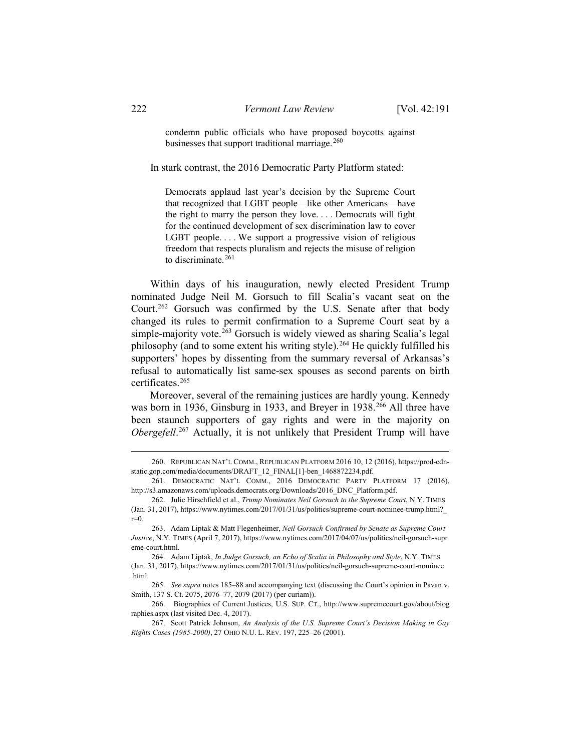condemn public officials who have proposed boycotts against businesses that support traditional marriage.<sup>[260](#page-31-0)</sup>

In stark contrast, the 2016 Democratic Party Platform stated:

Democrats applaud last year's decision by the Supreme Court that recognized that LGBT people—like other Americans—have the right to marry the person they love. . . . Democrats will fight for the continued development of sex discrimination law to cover LGBT people.... We support a progressive vision of religious freedom that respects pluralism and rejects the misuse of religion to discriminate. $261$ 

Within days of his inauguration, newly elected President Trump nominated Judge Neil M. Gorsuch to fill Scalia's vacant seat on the Court.[262](#page-31-2) Gorsuch was confirmed by the U.S. Senate after that body changed its rules to permit confirmation to a Supreme Court seat by a simple-majority vote.<sup>[263](#page-31-3)</sup> Gorsuch is widely viewed as sharing Scalia's legal philosophy (and to some extent his writing style).[264](#page-31-4) He quickly fulfilled his supporters' hopes by dissenting from the summary reversal of Arkansas's refusal to automatically list same-sex spouses as second parents on birth certificates.[265](#page-31-5)

Moreover, several of the remaining justices are hardly young. Kennedy was born in 1936, Ginsburg in 1933, and Breyer in 1938.<sup>[266](#page-31-6)</sup> All three have been staunch supporters of gay rights and were in the majority on *Obergefell*. [267](#page-31-7) Actually, it is not unlikely that President Trump will have

<span id="page-31-0"></span> <sup>260.</sup> REPUBLICAN NAT'L COMM., REPUBLICAN PLATFORM 2016 10, 12 (2016), https://prod-cdnstatic.gop.com/media/documents/DRAFT\_12\_FINAL[1]-ben\_1468872234.pdf.

<span id="page-31-1"></span><sup>261.</sup> DEMOCRATIC NAT'L COMM., 2016 DEMOCRATIC PARTY PLATFORM 17 (2016), http://s3.amazonaws.com/uploads.democrats.org/Downloads/2016\_DNC\_Platform.pdf.

<span id="page-31-2"></span><sup>262.</sup> Julie Hirschfield et al., *Trump Nominates Neil Gorsuch to the Supreme Court*, N.Y. TIMES (Jan. 31, 2017), https://www.nytimes.com/2017/01/31/us/politics/supreme-court-nominee-trump.html?\_ r=0.

<span id="page-31-3"></span><sup>263.</sup> Adam Liptak & Matt Flegenheimer, *Neil Gorsuch Confirmed by Senate as Supreme Court Justice*, N.Y. TIMES (April 7, 2017), https://www.nytimes.com/2017/04/07/us/politics/neil-gorsuch-supr eme-court.html.

<span id="page-31-4"></span><sup>264.</sup> Adam Liptak, *In Judge Gorsuch, an Echo of Scalia in Philosophy and Style*, N.Y. TIMES (Jan. 31, 2017), https://www.nytimes.com/2017/01/31/us/politics/neil-gorsuch-supreme-court-nominee .html.

<span id="page-31-5"></span><sup>265.</sup> *See supra* notes 185–88 and accompanying text (discussing the Court's opinion in Pavan v. Smith, 137 S. Ct. 2075, 2076–77, 2079 (2017) (per curiam)).

<span id="page-31-6"></span><sup>266.</sup> Biographies of Current Justices, U.S. SUP. CT., http://www.supremecourt.gov/about/biog raphies.aspx (last visited Dec. 4, 2017).

<span id="page-31-7"></span><sup>267.</sup> Scott Patrick Johnson, *An Analysis of the U.S. Supreme Court's Decision Making in Gay Rights Cases (1985-2000)*, 27 OHIO N.U. L. REV. 197, 225–26 (2001).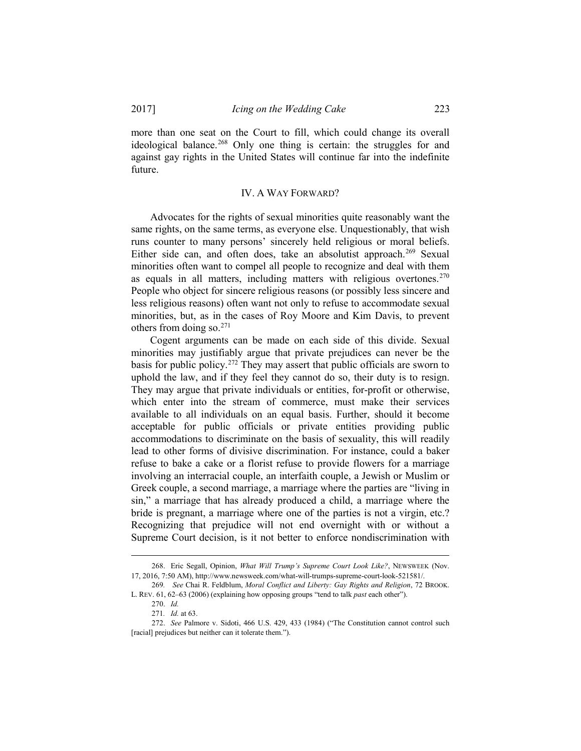more than one seat on the Court to fill, which could change its overall ideological balance. [268](#page-32-0) Only one thing is certain: the struggles for and against gay rights in the United States will continue far into the indefinite future.

## IV. A WAY FORWARD?

Advocates for the rights of sexual minorities quite reasonably want the same rights, on the same terms, as everyone else. Unquestionably, that wish runs counter to many persons' sincerely held religious or moral beliefs. Either side can, and often does, take an absolutist approach.<sup>[269](#page-32-1)</sup> Sexual minorities often want to compel all people to recognize and deal with them as equals in all matters, including matters with religious overtones.<sup>[270](#page-32-2)</sup> People who object for sincere religious reasons (or possibly less sincere and less religious reasons) often want not only to refuse to accommodate sexual minorities, but, as in the cases of Roy Moore and Kim Davis, to prevent others from doing so. $271$ 

Cogent arguments can be made on each side of this divide. Sexual minorities may justifiably argue that private prejudices can never be the basis for public policy[.272](#page-32-4) They may assert that public officials are sworn to uphold the law, and if they feel they cannot do so, their duty is to resign. They may argue that private individuals or entities, for-profit or otherwise, which enter into the stream of commerce, must make their services available to all individuals on an equal basis. Further, should it become acceptable for public officials or private entities providing public accommodations to discriminate on the basis of sexuality, this will readily lead to other forms of divisive discrimination. For instance, could a baker refuse to bake a cake or a florist refuse to provide flowers for a marriage involving an interracial couple, an interfaith couple, a Jewish or Muslim or Greek couple, a second marriage, a marriage where the parties are "living in sin," a marriage that has already produced a child, a marriage where the bride is pregnant, a marriage where one of the parties is not a virgin, etc.? Recognizing that prejudice will not end overnight with or without a Supreme Court decision, is it not better to enforce nondiscrimination with

<span id="page-32-0"></span> <sup>268.</sup> Eric Segall, Opinion, *What Will Trump's Supreme Court Look Like?*, NEWSWEEK (Nov. 17, 2016, 7:50 AM), http://www.newsweek.com/what-will-trumps-supreme-court-look-521581/.

<span id="page-32-2"></span><span id="page-32-1"></span><sup>269</sup>*. See* Chai R. Feldblum, *Moral Conflict and Liberty: Gay Rights and Religion*, 72 BROOK. L. REV. 61, 62–63 (2006) (explaining how opposing groups "tend to talk *past* each other").

<sup>270.</sup> *Id.*

<sup>271</sup>*. Id.* at 63.

<span id="page-32-4"></span><span id="page-32-3"></span><sup>272.</sup> *See* Palmore v. Sidoti, 466 U.S. 429, 433 (1984) ("The Constitution cannot control such [racial] prejudices but neither can it tolerate them.").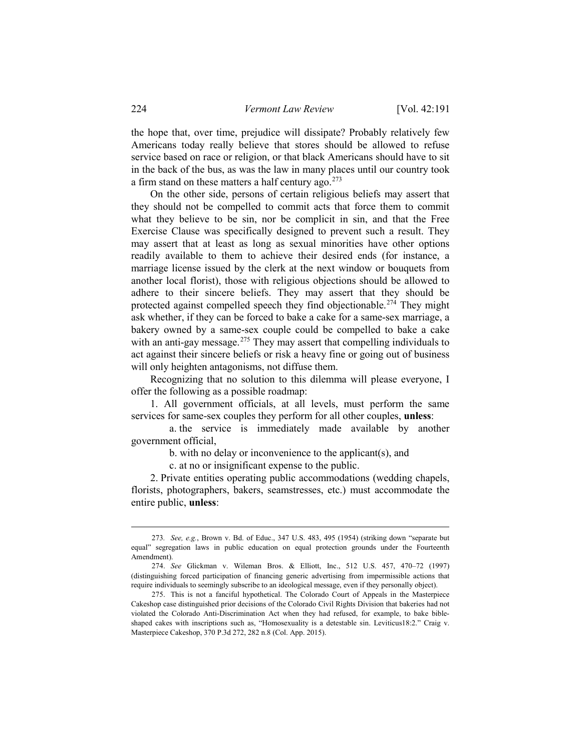the hope that, over time, prejudice will dissipate? Probably relatively few Americans today really believe that stores should be allowed to refuse service based on race or religion, or that black Americans should have to sit in the back of the bus, as was the law in many places until our country took a firm stand on these matters a half century ago. $273$ 

On the other side, persons of certain religious beliefs may assert that they should not be compelled to commit acts that force them to commit what they believe to be sin, nor be complicit in sin, and that the Free Exercise Clause was specifically designed to prevent such a result. They may assert that at least as long as sexual minorities have other options readily available to them to achieve their desired ends (for instance, a marriage license issued by the clerk at the next window or bouquets from another local florist), those with religious objections should be allowed to adhere to their sincere beliefs. They may assert that they should be protected against compelled speech they find objectionable.<sup>[274](#page-33-1)</sup> They might ask whether, if they can be forced to bake a cake for a same-sex marriage, a bakery owned by a same-sex couple could be compelled to bake a cake with an anti-gay message.<sup>[275](#page-33-2)</sup> They may assert that compelling individuals to act against their sincere beliefs or risk a heavy fine or going out of business will only heighten antagonisms, not diffuse them.

Recognizing that no solution to this dilemma will please everyone, I offer the following as a possible roadmap:

1. All government officials, at all levels, must perform the same services for same-sex couples they perform for all other couples, **unless**:

a. the service is immediately made available by another government official,

b. with no delay or inconvenience to the applicant(s), and

c. at no or insignificant expense to the public.

2. Private entities operating public accommodations (wedding chapels, florists, photographers, bakers, seamstresses, etc.) must accommodate the entire public, **unless**:

<span id="page-33-0"></span> <sup>273</sup>*. See, e.g.*, Brown v. Bd. of Educ., 347 U.S. 483, 495 (1954) (striking down "separate but equal" segregation laws in public education on equal protection grounds under the Fourteenth Amendment).

<span id="page-33-1"></span><sup>274.</sup> *See* Glickman v. Wileman Bros. & Elliott, Inc., 512 U.S. 457, 470–72 (1997) (distinguishing forced participation of financing generic advertising from impermissible actions that require individuals to seemingly subscribe to an ideological message, even if they personally object).

<span id="page-33-2"></span><sup>275.</sup> This is not a fanciful hypothetical. The Colorado Court of Appeals in the Masterpiece Cakeshop case distinguished prior decisions of the Colorado Civil Rights Division that bakeries had not violated the Colorado Anti-Discrimination Act when they had refused, for example, to bake bibleshaped cakes with inscriptions such as, "Homosexuality is a detestable sin. Leviticus18:2." Craig v. Masterpiece Cakeshop, 370 P.3d 272, 282 n.8 (Col. App. 2015).